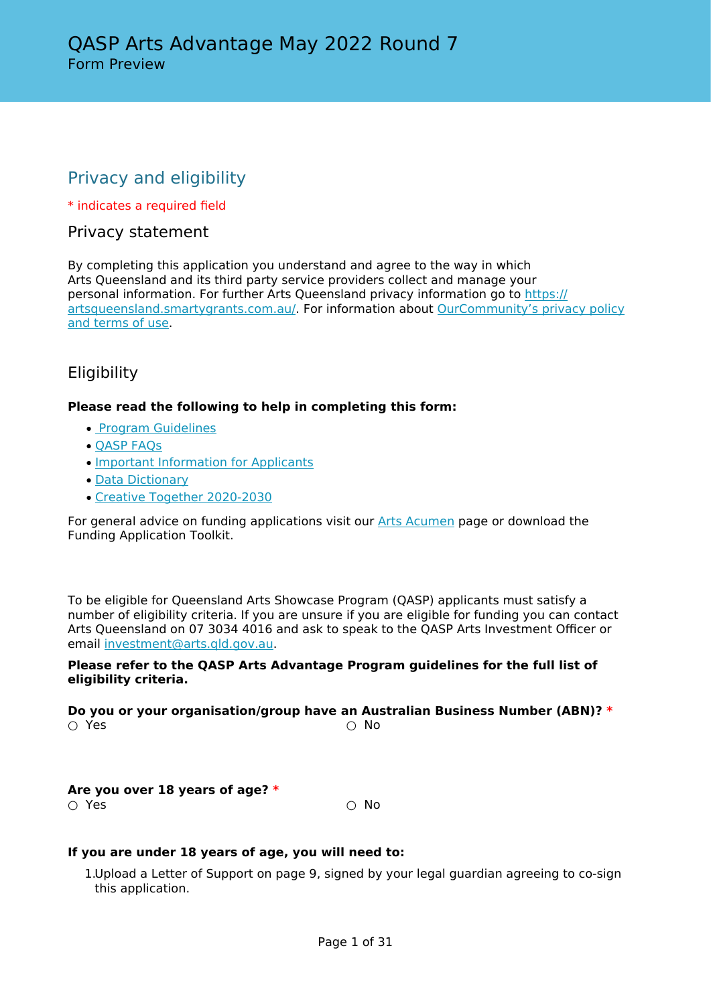# Privacy and eligibility

\* indicates a required field

### Privacy statement

By completing this application you understand and agree to the way in which Arts Queensland and its third party service providers collect and manage your personal information. For further Arts Queensland privacy information go to [https://](https://artsqueensland.smartygrants.com.au/) [artsqueensland.smartygrants.com.au/.](https://artsqueensland.smartygrants.com.au/) For information about [OurCommunity's privacy policy](https://www.ourcommunity.com.au/privacy) [and terms of use](https://www.ourcommunity.com.au/privacy).

# Eligibility

#### **Please read the following to help in completing this form:**

- • [Program Guidelines](https://www.publications.qld.gov.au/dataset/qasp)
- [QASP FAQs](https://www.publications.qld.gov.au/dataset/qasp)
- [Important Information for Applicants](https://www.publications.qld.gov.au/dataset/qasp/resource/b7383f9f-b0c3-445b-80ed-72ec121bb94f?inner_span=True)
- [Data Dictionary](https://www.publications.qld.gov.au/dataset/qasp)
- [Creative Together 2020-2030](https://www.arts.qld.gov.au/creative-together)

For general advice on funding applications visit our [Arts Acumen](http://www.arts.qld.gov.au/arts-acumen) page or download the Funding Application Toolkit.

To be eligible for Queensland Arts Showcase Program (QASP) applicants must satisfy a number of eligibility criteria. If you are unsure if you are eligible for funding you can contact Arts Queensland on 07 3034 4016 and ask to speak to the QASP Arts Investment Officer or email [investment@arts.qld.gov.au.](mailto:investment@arts.qld.gov.au)

#### **Please refer to the QASP Arts Advantage Program guidelines for the full list of eligibility criteria.**

**Do you or your organisation/group have an Australian Business Number (ABN)? \***  $\bigcirc$  Yes  $\bigcirc$  No

**Are you over 18 years of age? \***  $\bigcirc$  Yes  $\bigcirc$  No

#### **If you are under 18 years of age, you will need to:**

1.Upload a Letter of Support on page 9, signed by your legal guardian agreeing to co-sign this application.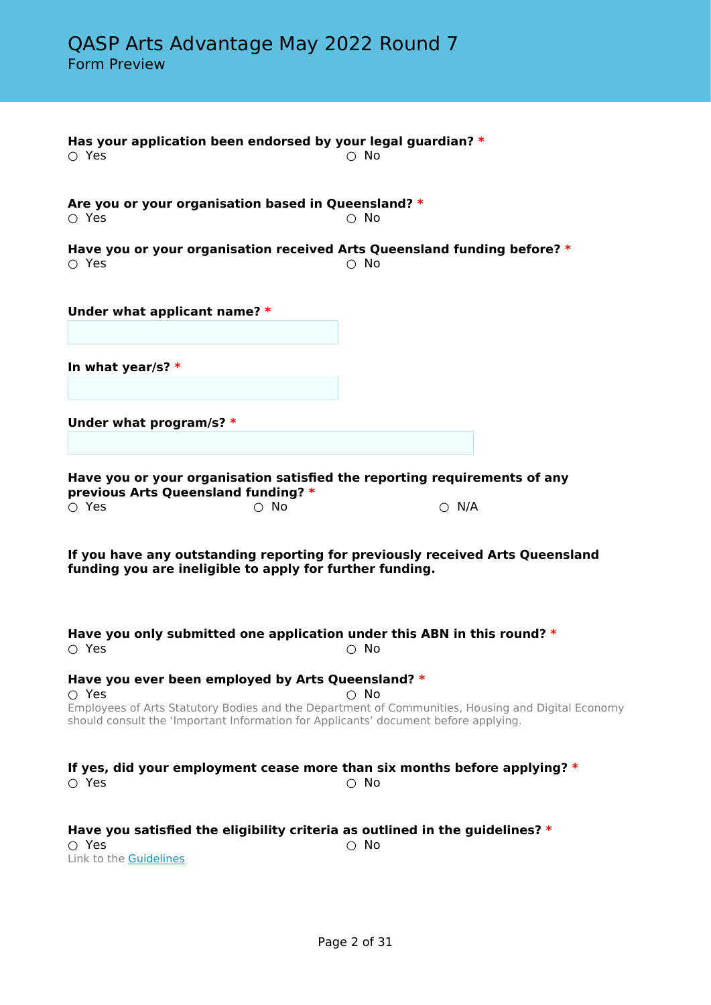| Has your application been endorsed by your legal guardian? *<br>$\circ$ Yes                                                                             |            | $\circ$ No                                                                                                         |  |
|---------------------------------------------------------------------------------------------------------------------------------------------------------|------------|--------------------------------------------------------------------------------------------------------------------|--|
| Are you or your organisation based in Queensland? *<br>$\circ$ Yes                                                                                      |            | $\circ$ No                                                                                                         |  |
| $\circ$ Yes                                                                                                                                             |            | Have you or your organisation received Arts Queensland funding before? *<br>$\circ$ No                             |  |
| Under what applicant name? *                                                                                                                            |            |                                                                                                                    |  |
| In what year/s? $*$                                                                                                                                     |            |                                                                                                                    |  |
| Under what program/s? $*$                                                                                                                               |            |                                                                                                                    |  |
| previous Arts Queensland funding? *<br>$\circ$ Yes                                                                                                      | $\circ$ No | Have you or your organisation satisfied the reporting requirements of any<br>$\bigcirc$ N/A                        |  |
| funding you are ineligible to apply for further funding.                                                                                                |            | If you have any outstanding reporting for previously received Arts Queensland                                      |  |
| $\circ$ Yes                                                                                                                                             |            | Have you only submitted one application under this ABN in this round? $*$<br>$\circ$ No                            |  |
| Have you ever been employed by Arts Queensland? *<br>$\circ$ Yes<br>should consult the 'Important Information for Applicants' document before applying. |            | $\bigcirc$ No<br>Employees of Arts Statutory Bodies and the Department of Communities, Housing and Digital Economy |  |
| $\bigcirc$ Yes                                                                                                                                          |            | If yes, did your employment cease more than six months before applying? $*$<br>$\bigcirc$ No                       |  |
| $\circ$ Yes<br>Link to the <b>Guidelines</b>                                                                                                            |            | Have you satisfied the eligibility criteria as outlined in the guidelines? $*$<br>$\circ$ No                       |  |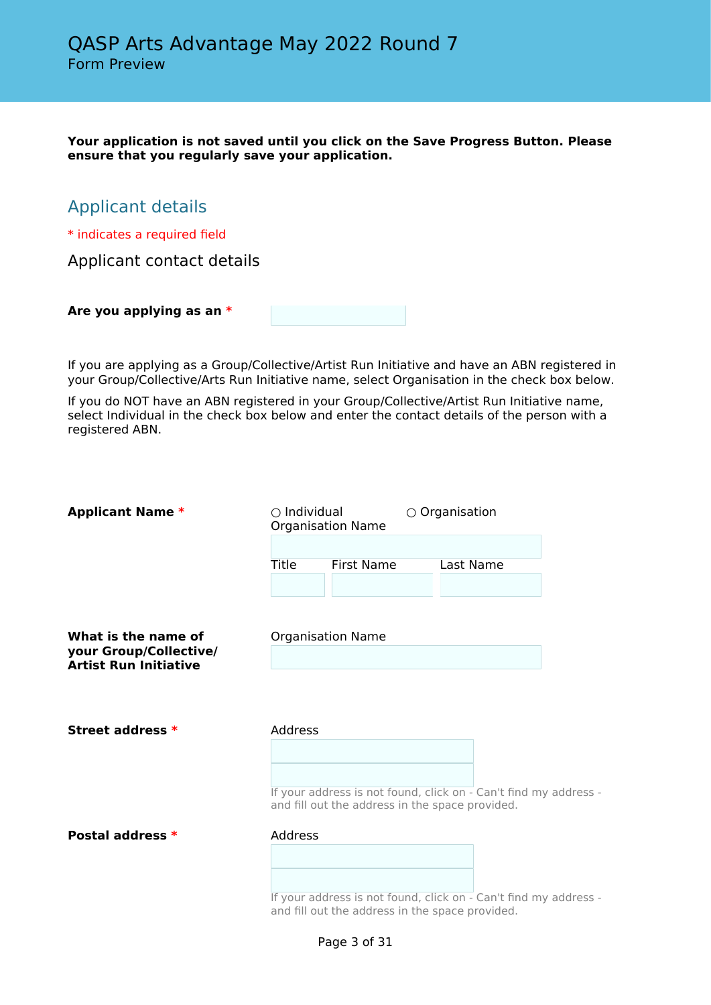**Your application is not saved until you click on the Save Progress Button. Please ensure that you regularly save your application.**

# Applicant details

\* indicates a required field

Applicant contact details

**Are you applying as an \***

If you are applying as a Group/Collective/Artist Run Initiative and have an ABN registered in your Group/Collective/Arts Run Initiative name, select Organisation in the check box below.

If you do NOT have an ABN registered in your Group/Collective/Artist Run Initiative name, select Individual in the check box below and enter the contact details of the person with a registered ABN.

| <b>Applicant Name *</b>                                                       | $\bigcirc$ Individual<br><b>Organisation Name</b>                                                                   |                                                                                                                     | $\circ$ Organisation |  |  |
|-------------------------------------------------------------------------------|---------------------------------------------------------------------------------------------------------------------|---------------------------------------------------------------------------------------------------------------------|----------------------|--|--|
|                                                                               | <b>Title</b>                                                                                                        | <b>First Name</b>                                                                                                   | Last Name            |  |  |
| What is the name of<br>your Group/Collective/<br><b>Artist Run Initiative</b> |                                                                                                                     | <b>Organisation Name</b>                                                                                            |                      |  |  |
|                                                                               |                                                                                                                     |                                                                                                                     |                      |  |  |
| Street address *                                                              | Address                                                                                                             |                                                                                                                     |                      |  |  |
|                                                                               | If your address is not found, click on - Can't find my address -<br>and fill out the address in the space provided. |                                                                                                                     |                      |  |  |
| Postal address *                                                              | <b>Address</b>                                                                                                      |                                                                                                                     |                      |  |  |
|                                                                               |                                                                                                                     | If your address is not found, click on - Can't find my address -<br>and fill out the address in the space provided. |                      |  |  |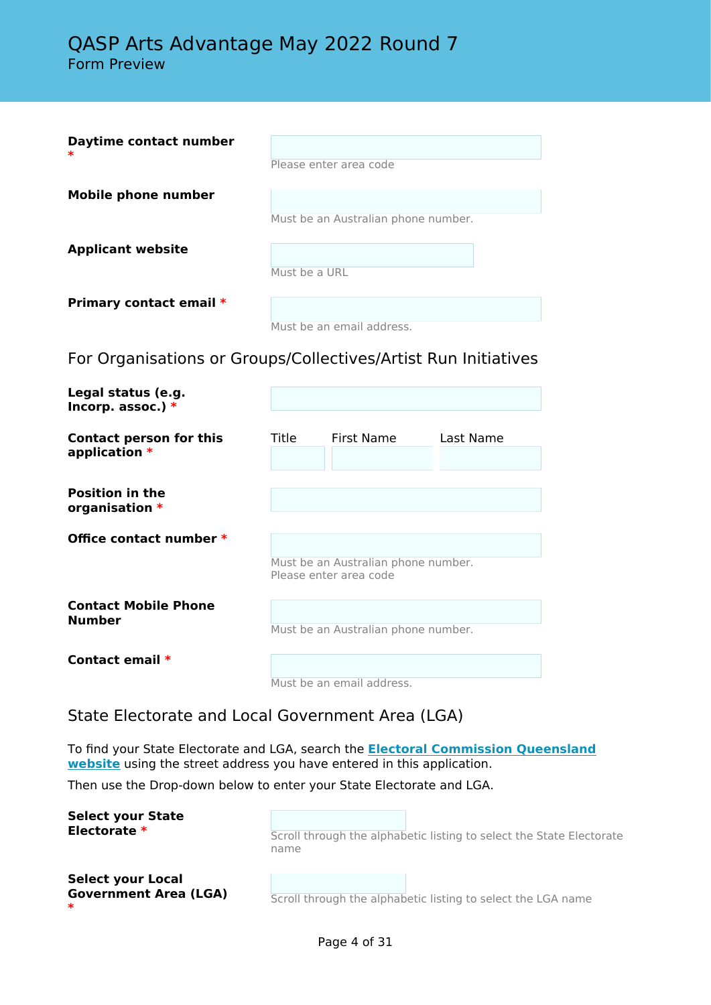| Daytime contact number                                         |               |                                                               |           |
|----------------------------------------------------------------|---------------|---------------------------------------------------------------|-----------|
|                                                                |               | Please enter area code                                        |           |
| <b>Mobile phone number</b>                                     |               | Must be an Australian phone number.                           |           |
| <b>Applicant website</b>                                       |               |                                                               |           |
|                                                                | Must be a URL |                                                               |           |
| Primary contact email *                                        |               | Must be an email address.                                     |           |
| For Organisations or Groups/Collectives/Artist Run Initiatives |               |                                                               |           |
| Legal status (e.g.<br>Incorp. assoc.) $*$                      |               |                                                               |           |
| <b>Contact person for this</b><br>application *                | Title         | <b>First Name</b>                                             | Last Name |
| <b>Position in the</b><br>organisation *                       |               |                                                               |           |
| Office contact number *                                        |               |                                                               |           |
|                                                                |               | Must be an Australian phone number.<br>Please enter area code |           |
| <b>Contact Mobile Phone</b><br><b>Number</b>                   |               | Must be an Australian phone number.                           |           |
| Contact email *                                                |               |                                                               |           |

Must be an email address.

State Electorate and Local Government Area (LGA)

To find your State Electorate and LGA, search the **[Electoral Commission Queensland](https://www.ecq.qld.gov.au/electoral-boundaries/where-is-my-electorate) [website](https://www.ecq.qld.gov.au/electoral-boundaries/where-is-my-electorate)** using the street address you have entered in this application.

Then use the Drop-down below to enter your State Electorate and LGA.

**Select your State Scroll through the alphabetic listing to select the State Electorate** name **Select your Local Government Area (LGA) \*** Scroll through the alphabetic listing to select the LGA name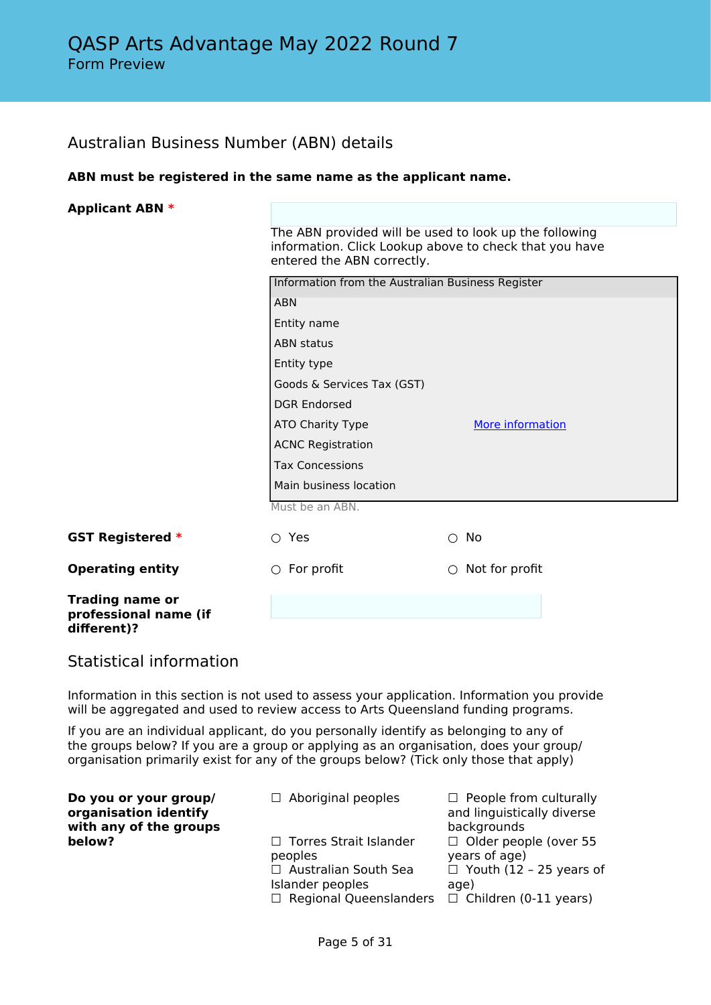# Australian Business Number (ABN) details

#### **ABN must be registered in the same name as the applicant name.**

| <b>Applicant ABN *</b>                                         |                                                                                                                                                |                              |  |  |  |
|----------------------------------------------------------------|------------------------------------------------------------------------------------------------------------------------------------------------|------------------------------|--|--|--|
|                                                                | The ABN provided will be used to look up the following<br>information. Click Lookup above to check that you have<br>entered the ABN correctly. |                              |  |  |  |
|                                                                | Information from the Australian Business Register                                                                                              |                              |  |  |  |
|                                                                | <b>ABN</b>                                                                                                                                     |                              |  |  |  |
|                                                                | Entity name                                                                                                                                    |                              |  |  |  |
|                                                                | <b>ABN</b> status                                                                                                                              |                              |  |  |  |
|                                                                | Entity type                                                                                                                                    |                              |  |  |  |
|                                                                | Goods & Services Tax (GST)                                                                                                                     |                              |  |  |  |
|                                                                | <b>DGR Endorsed</b>                                                                                                                            |                              |  |  |  |
|                                                                | ATO Charity Type                                                                                                                               | More information             |  |  |  |
|                                                                | <b>ACNC Registration</b><br><b>Tax Concessions</b>                                                                                             |                              |  |  |  |
|                                                                |                                                                                                                                                |                              |  |  |  |
|                                                                | Main business location                                                                                                                         |                              |  |  |  |
|                                                                | Must be an ABN.                                                                                                                                |                              |  |  |  |
| <b>GST Registered *</b>                                        | $\circ$ Yes                                                                                                                                    | No<br>∩                      |  |  |  |
| <b>Operating entity</b>                                        | For profit<br>$\bigcirc$                                                                                                                       | Not for profit<br>$\bigcirc$ |  |  |  |
| <b>Trading name or</b><br>professional name (if<br>different)? |                                                                                                                                                |                              |  |  |  |

# Statistical information

Information in this section is not used to assess your application. Information you provide will be aggregated and used to review access to Arts Queensland funding programs.

If you are an individual applicant, do you personally identify as belonging to any of the groups below? If you are a group or applying as an organisation, does your group/ organisation primarily exist for any of the groups below? (Tick only those that apply)

| Do you or your group/<br>organisation identify<br>with any of the groups | $\Box$ Aboriginal peoples                                                                                               | $\Box$ People from culturally<br>and linguistically diverse<br>backgrounds                                              |
|--------------------------------------------------------------------------|-------------------------------------------------------------------------------------------------------------------------|-------------------------------------------------------------------------------------------------------------------------|
| below?                                                                   | □ Torres Strait Islander<br>peoples<br>$\Box$ Australian South Sea<br>Islander peoples<br>$\Box$ Regional Queenslanders | $\Box$ Older people (over 55<br>years of age)<br>$\Box$ Youth (12 - 25 years of<br>age)<br>$\Box$ Children (0-11 years) |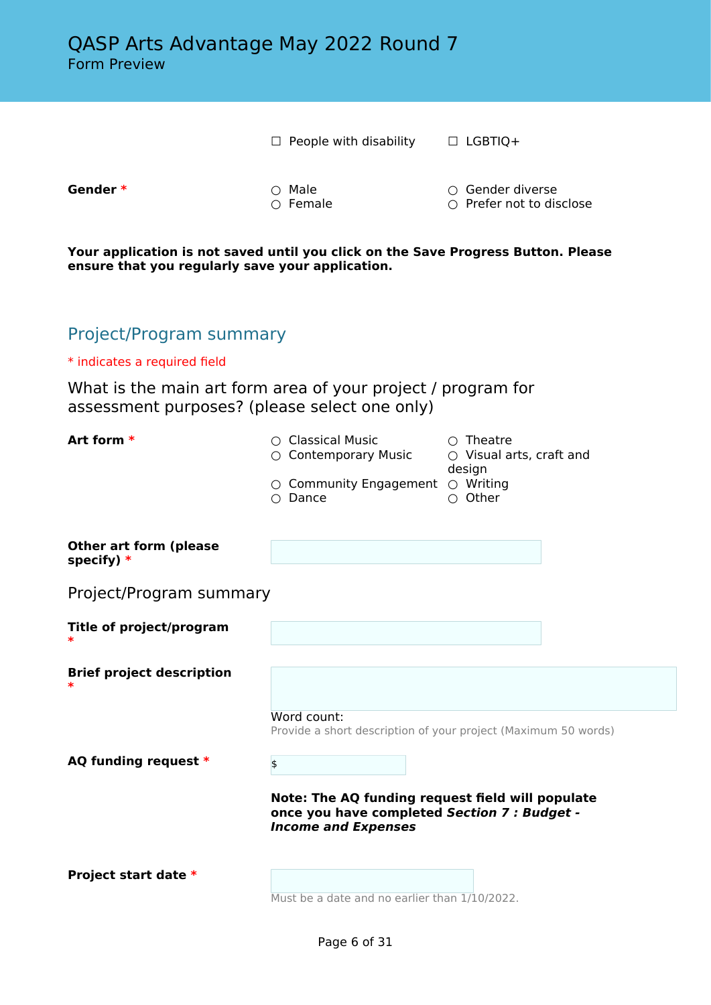□ People with disability □ LGBTIQ+

**Gender \*** ○ Male ○ Gender diverse

○ Prefer not to disclose

**Your application is not saved until you click on the Save Progress Button. Please ensure that you regularly save your application.**

# Project/Program summary

\* indicates a required field

What is the main art form area of your project / program for assessment purposes? (please select one only)

| Art form *                                  | $\circ$ Classical Music<br>○ Contemporary Music<br>$\circ$ Community Engagement $\circ$ Writing<br>$\bigcirc$ Dance            | $\bigcirc$ Theatre<br>○ Visual arts, craft and<br>design<br>$\bigcirc$ Other |  |  |
|---------------------------------------------|--------------------------------------------------------------------------------------------------------------------------------|------------------------------------------------------------------------------|--|--|
| <b>Other art form (please</b><br>specify) * |                                                                                                                                |                                                                              |  |  |
| Project/Program summary                     |                                                                                                                                |                                                                              |  |  |
| <b>Title of project/program</b>             |                                                                                                                                |                                                                              |  |  |
| <b>Brief project description</b>            |                                                                                                                                |                                                                              |  |  |
|                                             | Word count:<br>Provide a short description of your project (Maximum 50 words)                                                  |                                                                              |  |  |
| AQ funding request *                        | $\frac{1}{2}$                                                                                                                  |                                                                              |  |  |
|                                             | Note: The AQ funding request field will populate<br>once you have completed Section 7 : Budget -<br><b>Income and Expenses</b> |                                                                              |  |  |
| Project start date *                        | Must be a date and no earlier than 1/10/2022.                                                                                  |                                                                              |  |  |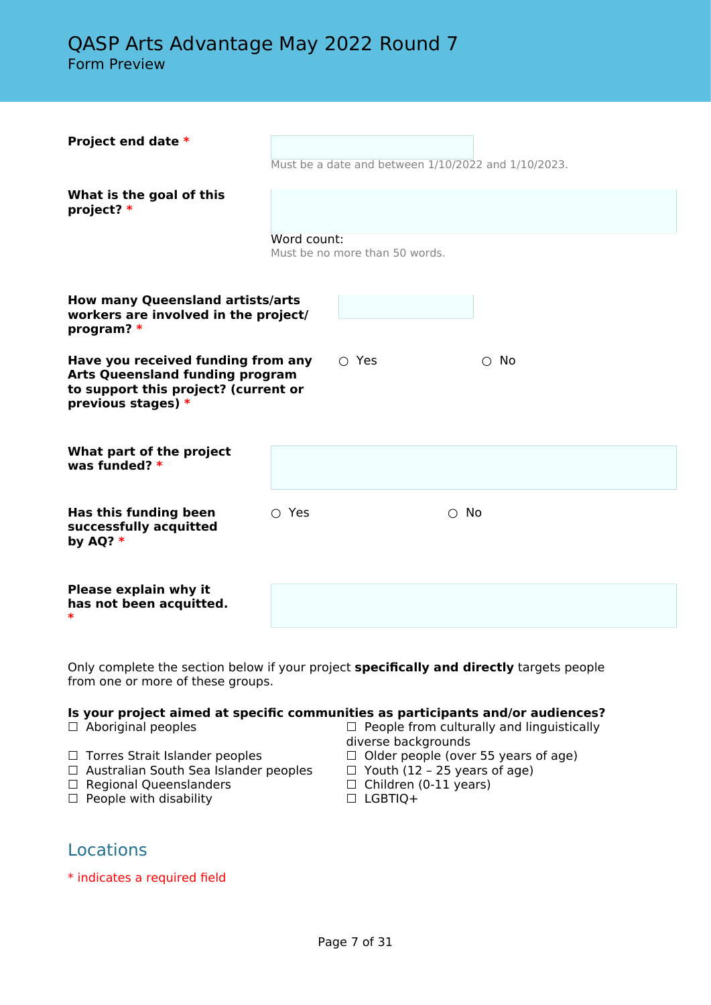| Project end date *                                                                                                                           |                |                                | Must be a date and between 1/10/2022 and 1/10/2023. |  |
|----------------------------------------------------------------------------------------------------------------------------------------------|----------------|--------------------------------|-----------------------------------------------------|--|
| What is the goal of this<br>project? *                                                                                                       |                |                                |                                                     |  |
|                                                                                                                                              | Word count:    | Must be no more than 50 words. |                                                     |  |
| <b>How many Queensland artists/arts</b><br>workers are involved in the project/<br>program? *                                                |                |                                |                                                     |  |
| Have you received funding from any<br><b>Arts Queensland funding program</b><br>to support this project? (current or<br>previous stages) $*$ |                | $\circ$ Yes                    | $\circ$ No                                          |  |
| What part of the project<br>was funded? $*$                                                                                                  |                |                                |                                                     |  |
| Has this funding been<br>successfully acquitted<br>by AQ? $*$                                                                                | $\bigcirc$ Yes |                                | $\bigcirc$ No                                       |  |
| <b>Please explain why it</b><br>has not been acquitted.<br>∗                                                                                 |                |                                |                                                     |  |

Only complete the section below if your project **specifically and directly** targets people from one or more of these groups.

# **Is your project aimed at specific communities as participants and/or audiences?**<br>  $\Box$  Aboriginal peoples  $\Box$  People from culturally and linguistically

- 
- ☐ Torres Strait Islander peoples ☐ Older people (over 55 years of age) □ Australian South Sea Islander peoples □ Youth (12 – 25 years on □ Regional Queenslanders □ □ Children (0-11 years)
- □ Regional Queenslanders
- □ People with disability □ □ LGBTIQ+
- $\Box$  People from culturally and linguistically diverse backgrounds
- 
- 
- -

# Locations

\* indicates a required field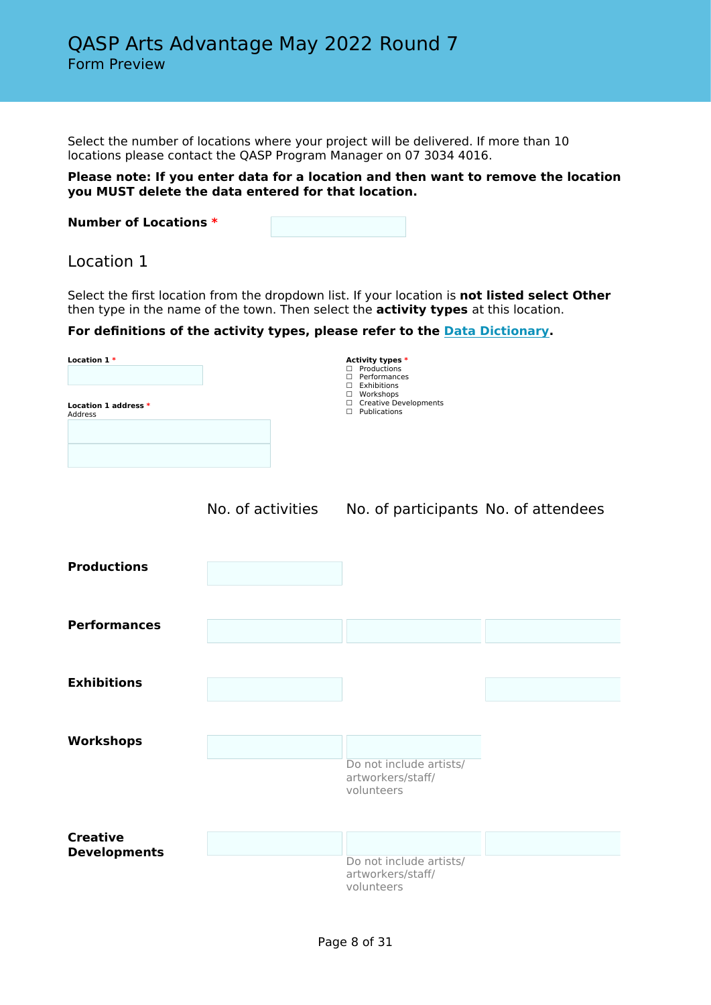Select the number of locations where your project will be delivered. If more than 10 locations please contact the QASP Program Manager on 07 3034 4016.

#### **Please note: If you enter data for a location and then want to remove the location you MUST delete the data entered for that location.**

| <b>Number of Locations *</b> |  |
|------------------------------|--|
|                              |  |

# Location 1

Select the first location from the dropdown list. If your location is **not listed select Other** then type in the name of the town. Then select the **activity types** at this location.

**For definitions of the activity types, please refer to the [Data Dictionary](https://publications.qld.gov.au/dataset/qasp/resource/99c9d422-5920-485f-88e7-e558c278b68d).**

| Location $1*$<br>Location 1 address *<br>Address | Activity types *<br>Productions<br>П.<br>П.<br>Performances<br>$\Box$ Exhibitions<br>Workshops<br>$\Box$<br>□ Creative Developments<br>Publications<br>$\Box$ |
|--------------------------------------------------|---------------------------------------------------------------------------------------------------------------------------------------------------------------|
|                                                  |                                                                                                                                                               |
|                                                  |                                                                                                                                                               |
|                                                  |                                                                                                                                                               |



No. of activities No. of participants No. of attendees

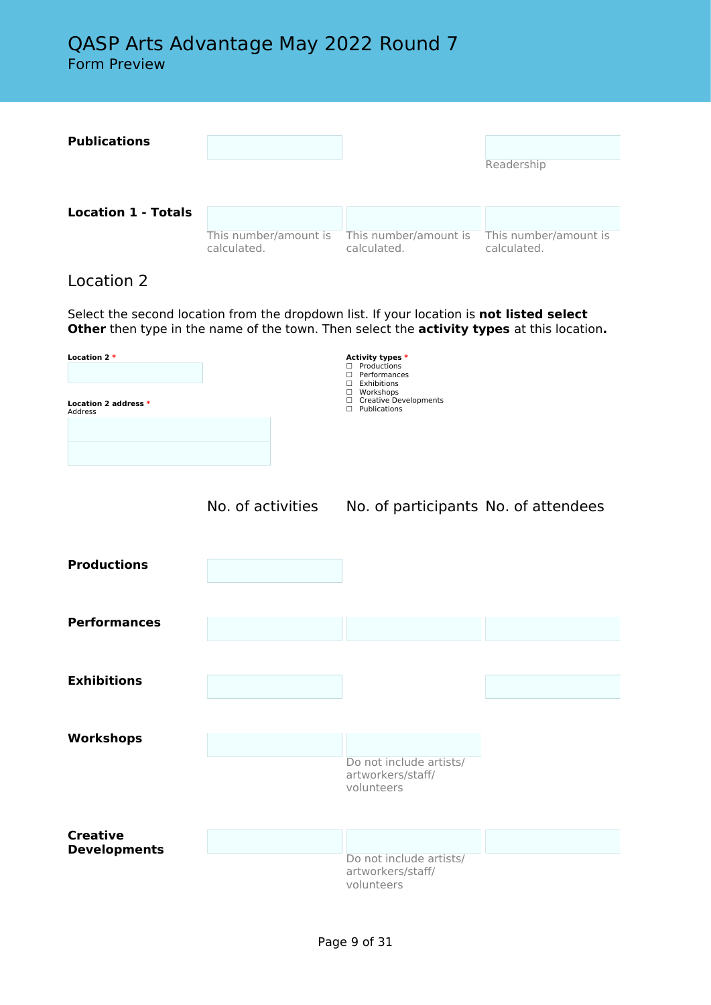**Publications** Readership **Location 1 - Totals** This number/amount is calculated. This number/amount is calculated. This number/amount is calculated.

# Location 2

Select the second location from the dropdown list. If your location is **not listed select Other** then type in the name of the town. Then select the **activity types** at this location**.**

| Location 2 *<br>Location 2 address *<br>Address |                   | Activity types *<br>$\Box$ Productions<br>□ Performances<br>$\Box$ Exhibitions<br>□ Workshops<br>□ Creative Developments<br>$\Box$ Publications |  |
|-------------------------------------------------|-------------------|-------------------------------------------------------------------------------------------------------------------------------------------------|--|
|                                                 | No. of activities | No. of participants No. of attendees                                                                                                            |  |
| <b>Productions</b>                              |                   |                                                                                                                                                 |  |
| <b>Performances</b>                             |                   |                                                                                                                                                 |  |
| <b>Exhibitions</b>                              |                   |                                                                                                                                                 |  |
| Workshops                                       |                   | Do not include artists/<br>artworkers/staff/<br>volunteers                                                                                      |  |
| <b>Creative</b><br><b>Developments</b>          |                   | Do not include artists/<br>artworkers/staff/<br>volunteers                                                                                      |  |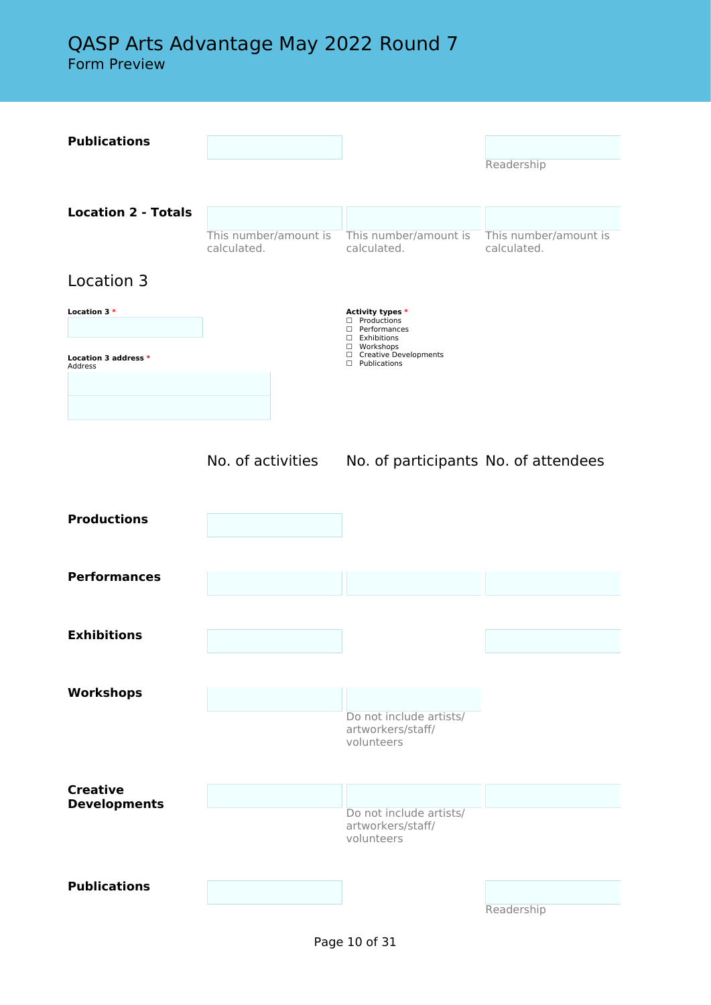# QASP Arts Advantage May 2022 Round 7

Form Preview

| <b>Publications</b>                    |                                      |                                                               |                                      |
|----------------------------------------|--------------------------------------|---------------------------------------------------------------|--------------------------------------|
|                                        |                                      |                                                               |                                      |
|                                        |                                      |                                                               | Readership                           |
|                                        |                                      |                                                               |                                      |
| <b>Location 2 - Totals</b>             |                                      |                                                               |                                      |
|                                        | This number/amount is<br>calculated. | This number/amount is<br>calculated.                          | This number/amount is<br>calculated. |
|                                        |                                      |                                                               |                                      |
| Location 3                             |                                      |                                                               |                                      |
| Location 3 *                           |                                      | Activity types *<br>□ Productions                             |                                      |
|                                        |                                      | D Performances<br>$\square$ Exhibitions                       |                                      |
| Location 3 address *<br>Address        |                                      | □ Workshops<br>□ Creative Developments<br>$\Box$ Publications |                                      |
|                                        |                                      |                                                               |                                      |
|                                        |                                      |                                                               |                                      |
|                                        |                                      |                                                               |                                      |
|                                        | No. of activities                    | No. of participants No. of attendees                          |                                      |
|                                        |                                      |                                                               |                                      |
|                                        |                                      |                                                               |                                      |
| <b>Productions</b>                     |                                      |                                                               |                                      |
|                                        |                                      |                                                               |                                      |
| <b>Performances</b>                    |                                      |                                                               |                                      |
|                                        |                                      |                                                               |                                      |
|                                        |                                      |                                                               |                                      |
| <b>Exhibitions</b>                     |                                      |                                                               |                                      |
|                                        |                                      |                                                               |                                      |
|                                        |                                      |                                                               |                                      |
| <b>Workshops</b>                       |                                      |                                                               |                                      |
|                                        |                                      | Do not include artists/<br>artworkers/staff/                  |                                      |
|                                        |                                      | volunteers                                                    |                                      |
|                                        |                                      |                                                               |                                      |
| <b>Creative</b><br><b>Developments</b> |                                      |                                                               |                                      |
|                                        |                                      | Do not include artists/<br>artworkers/staff/                  |                                      |
|                                        |                                      | volunteers                                                    |                                      |
|                                        |                                      |                                                               |                                      |
| <b>Publications</b>                    |                                      |                                                               |                                      |
|                                        |                                      |                                                               | Readership                           |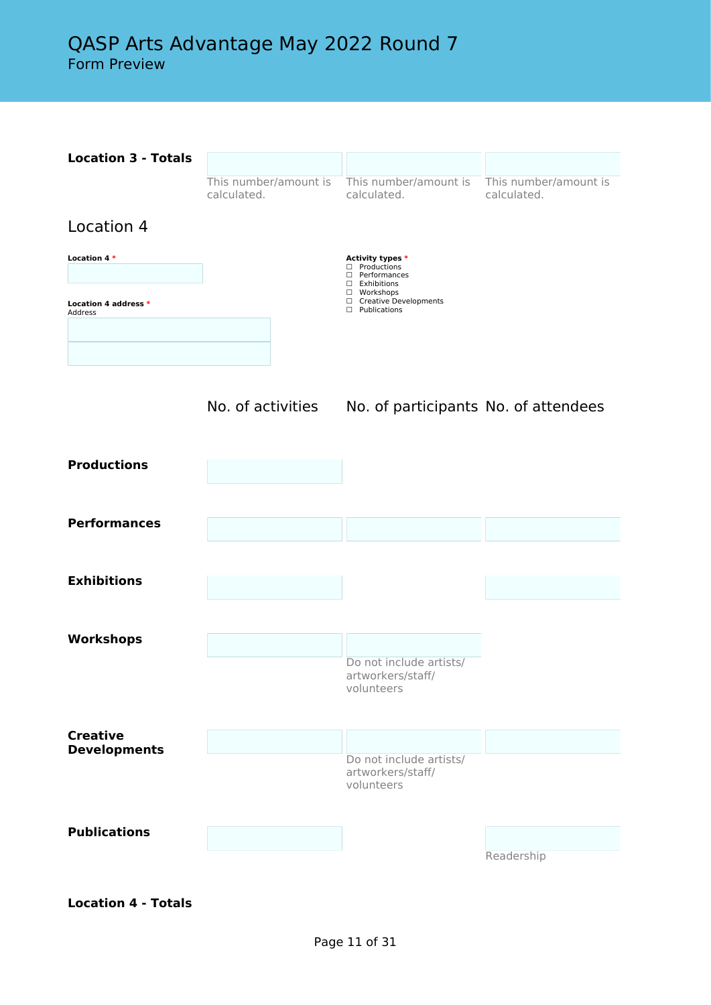

**Location 4 - Totals**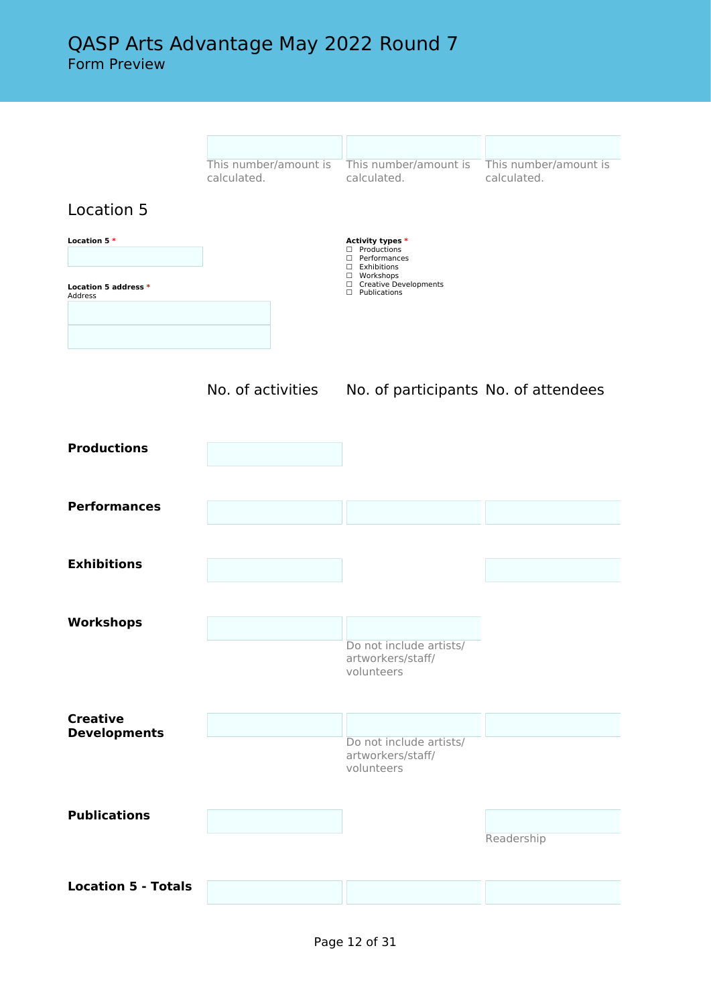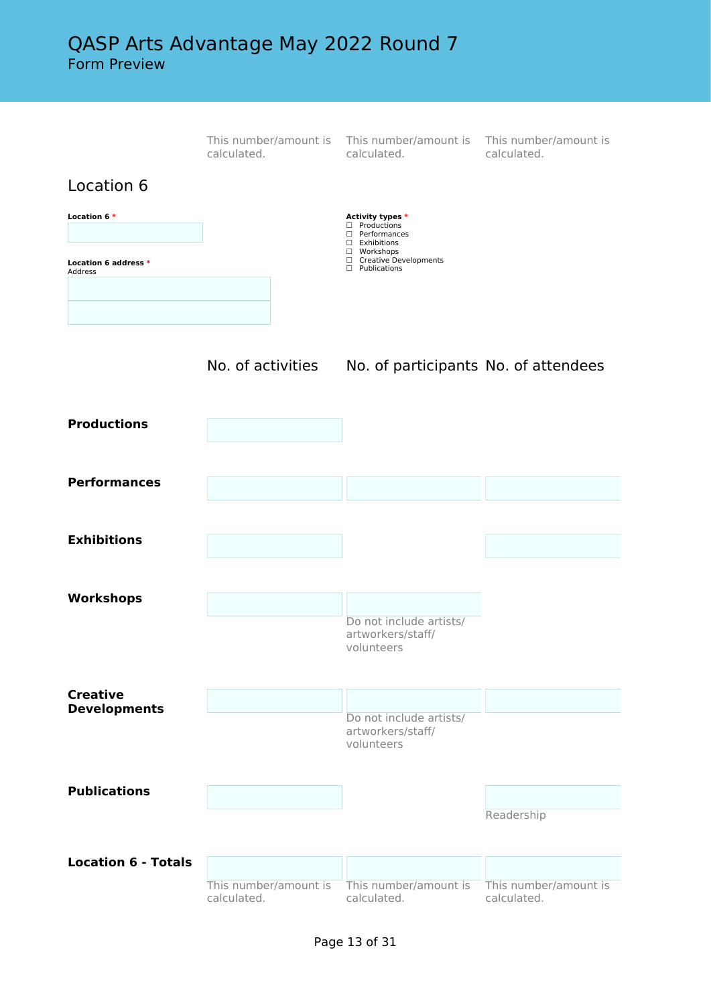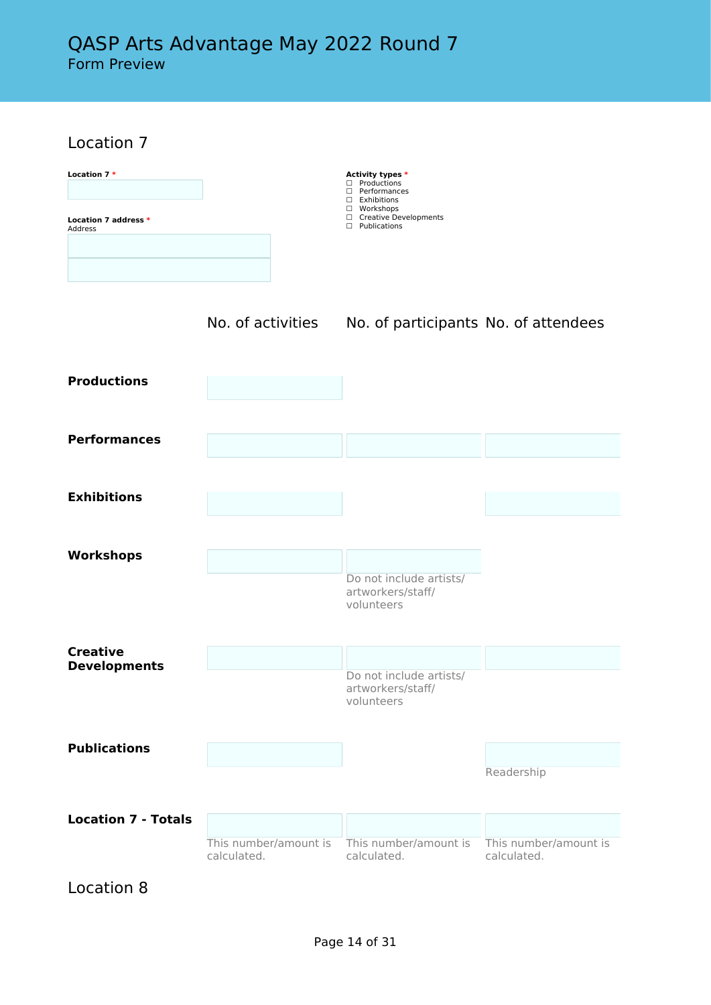Location 7

| Location 7*<br>Location 7 address *<br>Address |                                      | Activity types *<br>$\Box$ Productions<br>□ Performances<br>$\Box$ Exhibitions<br>□ Workshops<br>□ Creative Developments<br>$\Box$ Publications |                                      |
|------------------------------------------------|--------------------------------------|-------------------------------------------------------------------------------------------------------------------------------------------------|--------------------------------------|
|                                                | No. of activities                    | No. of participants No. of attendees                                                                                                            |                                      |
| <b>Productions</b>                             |                                      |                                                                                                                                                 |                                      |
| <b>Performances</b>                            |                                      |                                                                                                                                                 |                                      |
| <b>Exhibitions</b>                             |                                      |                                                                                                                                                 |                                      |
| <b>Workshops</b>                               |                                      | Do not include artists/<br>artworkers/staff/<br>volunteers                                                                                      |                                      |
| <b>Creative</b>                                |                                      |                                                                                                                                                 |                                      |
| <b>Developments</b>                            |                                      | Do not include artists/<br>artworkers/staff/<br>volunteers                                                                                      |                                      |
| <b>Publications</b>                            |                                      |                                                                                                                                                 | Readership                           |
| <b>Location 7 - Totals</b>                     | This number/amount is<br>calculated. | This number/amount is<br>calculated.                                                                                                            | This number/amount is<br>calculated. |

Location 8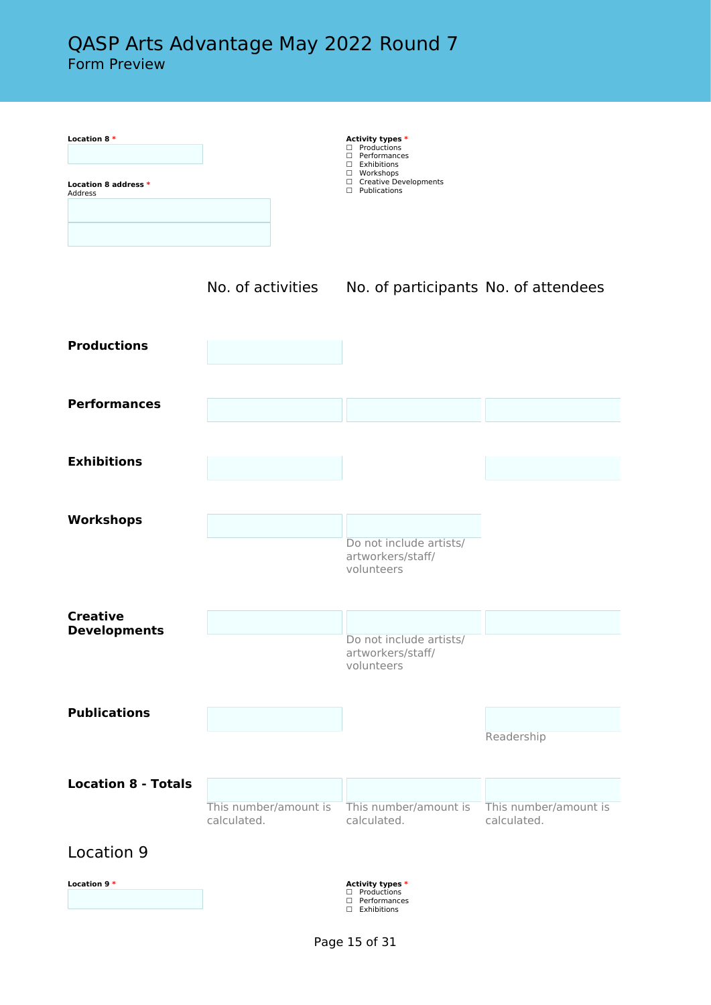| Location 8 *<br>Location 8 address *   |                                      | Activity types *<br>□ Productions<br>□ Performances<br>$\Box$ Exhibitions<br>□ Workshops<br>□ Creative Developments |                                      |
|----------------------------------------|--------------------------------------|---------------------------------------------------------------------------------------------------------------------|--------------------------------------|
| Address                                |                                      | $\Box$ Publications                                                                                                 |                                      |
|                                        | No. of activities                    | No. of participants No. of attendees                                                                                |                                      |
| <b>Productions</b>                     |                                      |                                                                                                                     |                                      |
| <b>Performances</b>                    |                                      |                                                                                                                     |                                      |
| <b>Exhibitions</b>                     |                                      |                                                                                                                     |                                      |
| Workshops                              |                                      | Do not include artists/<br>artworkers/staff/<br>volunteers                                                          |                                      |
| <b>Creative</b><br><b>Developments</b> |                                      | Do not include artists/<br>artworkers/staff/<br>volunteers                                                          |                                      |
| <b>Publications</b>                    |                                      |                                                                                                                     | Readership                           |
| <b>Location 8 - Totals</b>             |                                      |                                                                                                                     |                                      |
|                                        | This number/amount is<br>calculated. | This number/amount is<br>calculated.                                                                                | This number/amount is<br>calculated. |
| Location 9<br>Location 9 *             |                                      |                                                                                                                     |                                      |
|                                        |                                      | <b>Activity types *</b><br>□ Productions<br>□ Performances<br>□ Exhibitions                                         |                                      |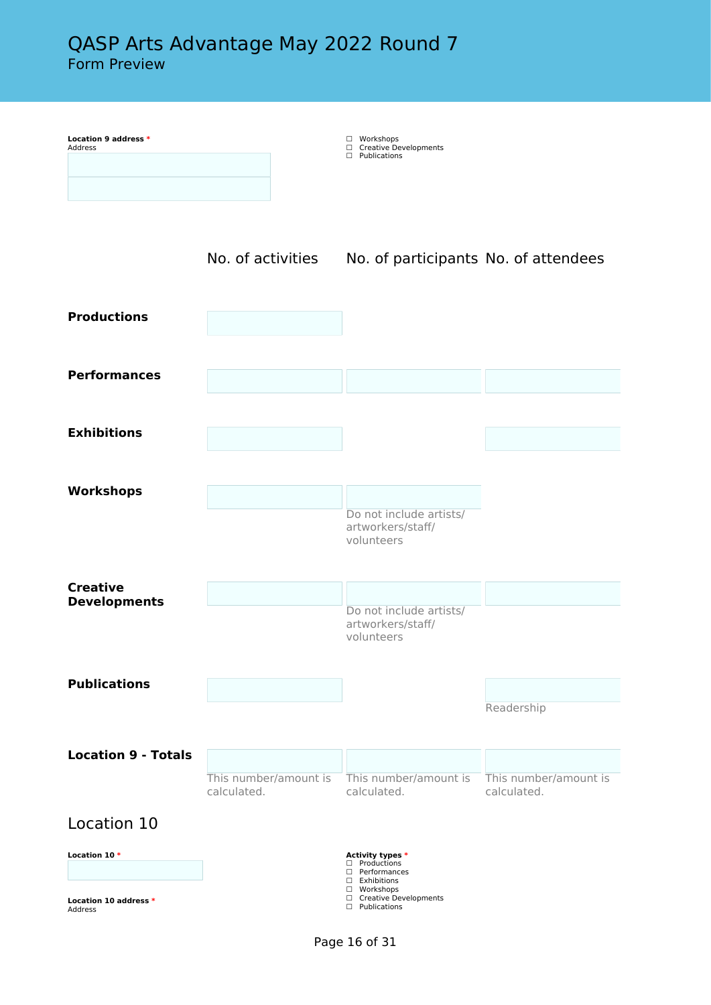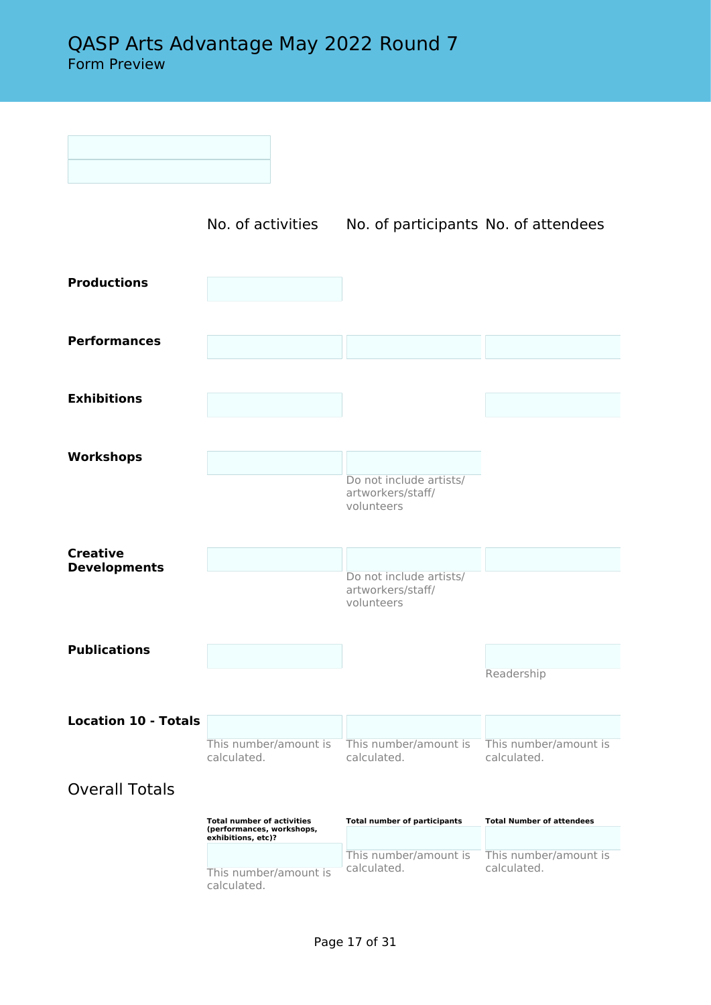|                                        | No. of activities                                                                    | No. of participants No. of attendees         |                                      |
|----------------------------------------|--------------------------------------------------------------------------------------|----------------------------------------------|--------------------------------------|
| <b>Productions</b>                     |                                                                                      |                                              |                                      |
| <b>Performances</b>                    |                                                                                      |                                              |                                      |
| <b>Exhibitions</b>                     |                                                                                      |                                              |                                      |
| <b>Workshops</b>                       |                                                                                      | Do not include artists/                      |                                      |
|                                        |                                                                                      | artworkers/staff/<br>volunteers              |                                      |
| <b>Creative</b><br><b>Developments</b> |                                                                                      | Do not include artists/<br>artworkers/staff/ |                                      |
| <b>Publications</b>                    |                                                                                      | volunteers                                   |                                      |
|                                        |                                                                                      |                                              | Readership                           |
| <b>Location 10 - Totals</b>            |                                                                                      |                                              |                                      |
|                                        | This number/amount is<br>calculated.                                                 | This number/amount is<br>calculated.         | This number/amount is<br>calculated. |
| <b>Overall Totals</b>                  |                                                                                      |                                              |                                      |
|                                        | <b>Total number of activities</b><br>(performances, workshops,<br>exhibitions, etc)? | <b>Total number of participants</b>          | <b>Total Number of attendees</b>     |
|                                        | This number/amount is<br>calculated.                                                 | This number/amount is<br>calculated.         | This number/amount is<br>calculated. |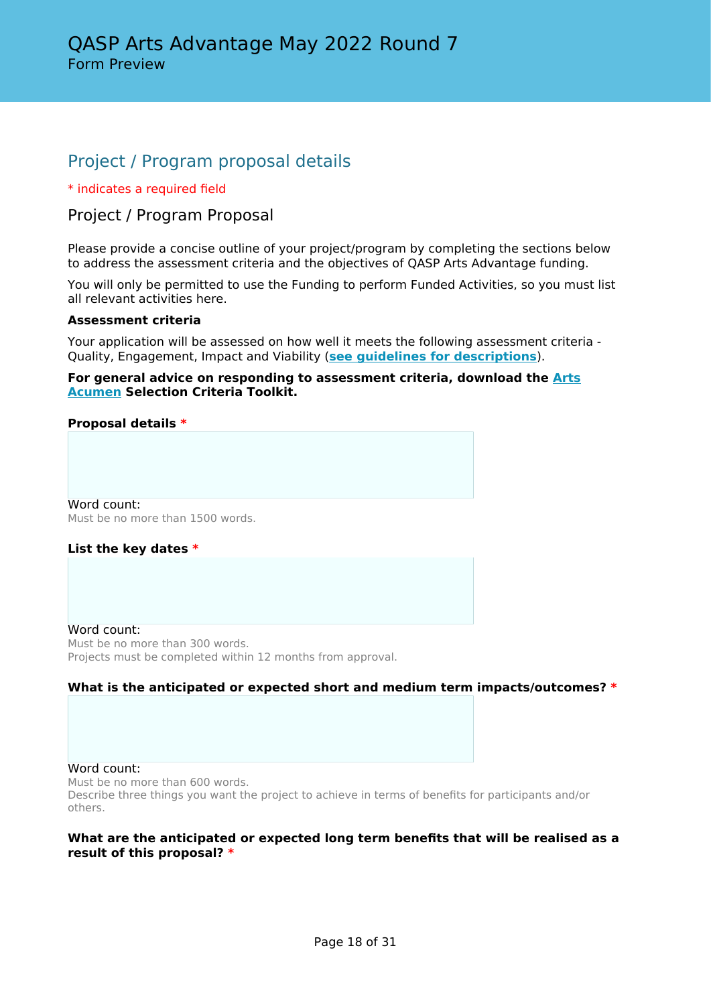# Project / Program proposal details

#### \* indicates a required field

# Project / Program Proposal

Please provide a concise outline of your project/program by completing the sections below to address the assessment criteria and the objectives of QASP Arts Advantage funding.

You will only be permitted to use the Funding to perform Funded Activities, so you must list all relevant activities here.

#### **Assessment criteria**

Your application will be assessed on how well it meets the following assessment criteria - Quality, Engagement, Impact and Viability (**[see guidelines for descriptions](https://www.publications.qld.gov.au/dataset/qasp)**).

#### **For general advice on responding to assessment criteria, download the [Arts](https://www.arts.qld.gov.au/arts-acumen) [Acumen](https://www.arts.qld.gov.au/arts-acumen) Selection Criteria Toolkit.**

#### **Proposal details \***

Word count: Must be no more than 1500 words.

#### **List the key dates \***

Word count: Must be no more than 300 words. Projects must be completed within 12 months from approval.

#### **What is the anticipated or expected short and medium term impacts/outcomes? \***

#### Word count:

Must be no more than 600 words. Describe three things you want the project to achieve in terms of benefits for participants and/or others.

#### **What are the anticipated or expected long term benefits that will be realised as a result of this proposal? \***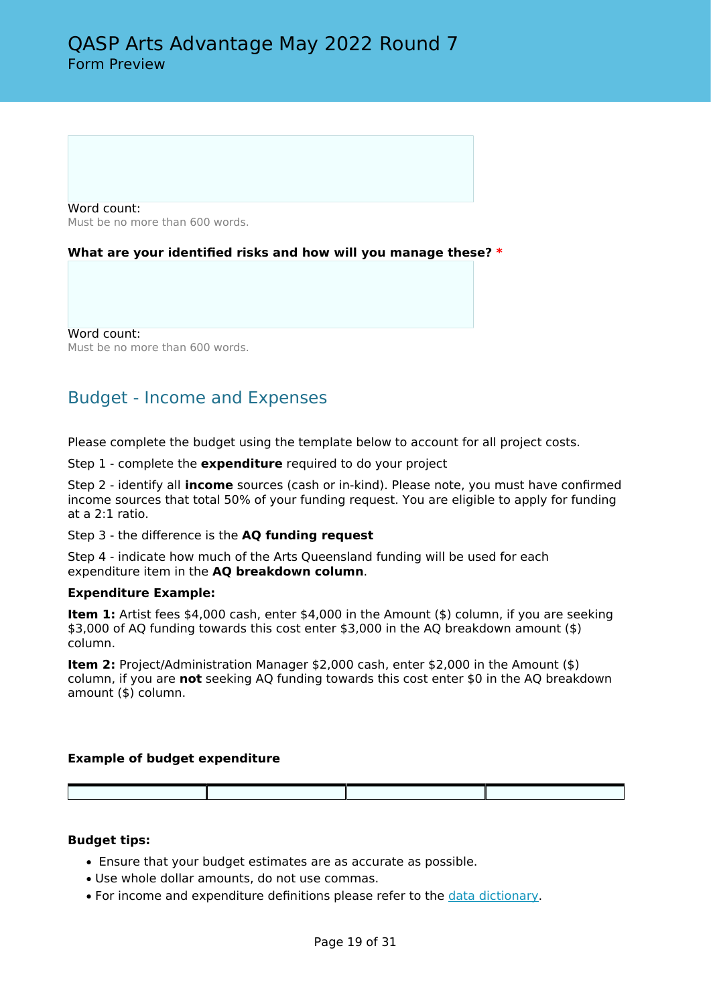Word count: Must be no more than 600 words.

#### **What are your identified risks and how will you manage these? \***

Word count: Must be no more than 600 words.

# Budget - Income and Expenses

Please complete the budget using the template below to account for all project costs.

Step 1 - complete the **expenditure** required to do your project

Step 2 - identify all **income** sources (cash or in-kind). Please note, you must have confirmed income sources that total 50% of your funding request. You are eligible to apply for funding at a 2:1 ratio.

Step 3 - the difference is the **AQ funding request**

Step 4 - indicate how much of the Arts Queensland funding will be used for each expenditure item in the **AQ breakdown column**.

#### **Expenditure Example:**

**Item 1:** Artist fees \$4,000 cash, enter \$4,000 in the Amount (\$) column, if you are seeking \$3,000 of AQ funding towards this cost enter \$3,000 in the AQ breakdown amount (\$) column.

**Item 2:** Project/Administration Manager \$2,000 cash, enter \$2,000 in the Amount (\$) column, if you are **not** seeking AQ funding towards this cost enter \$0 in the AQ breakdown amount (\$) column.

#### **Example of budget expenditure**

#### **Budget tips:**

- Ensure that your budget estimates are as accurate as possible.
- Use whole dollar amounts, do not use commas.
- For income and expenditure definitions please refer to the [data dictionary](https://publications.qld.gov.au/dataset/qasp/resource/99c9d422-5920-485f-88e7-e558c278b68d).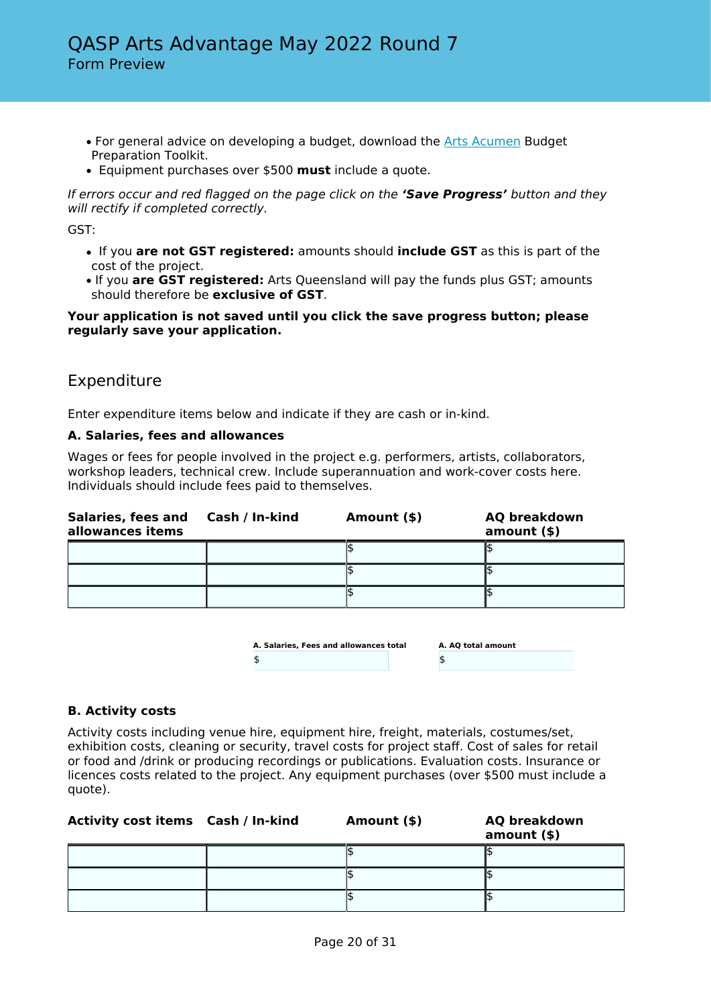- For general advice on developing a budget, download the [Arts Acumen](https://www.arts.qld.gov.au/arts-acumen) Budget Preparation Toolkit.
- Equipment purchases over \$500 **must** include a quote.

*If errors occur and red flagged on the page click on the 'Save Progress' button and they will rectify if completed correctly.*

GST:

- If you **are not GST registered:** amounts should **include GST** as this is part of the cost of the project.
- If you **are GST registered:** Arts Queensland will pay the funds plus GST; amounts should therefore be **exclusive of GST**.

#### **Your application is not saved until you click the save progress button; please regularly save your application.**

# Expenditure

Enter expenditure items below and indicate if they are cash or in-kind.

#### **A. Salaries, fees and allowances**

Wages or fees for people involved in the project e.g. performers, artists, collaborators, workshop leaders, technical crew. Include superannuation and work-cover costs here. Individuals should include fees paid to themselves.

| Salaries, fees and<br>allowances items | Cash / In-kind | Amount (\$) | <b>AQ breakdown</b><br>$amount($ \$) |
|----------------------------------------|----------------|-------------|--------------------------------------|
|                                        |                |             |                                      |
|                                        |                |             |                                      |
|                                        |                |             |                                      |

| A. Salaries, Fees and allowances total | A. AO total amount |
|----------------------------------------|--------------------|
|                                        |                    |

#### **B. Activity costs**

Activity costs including venue hire, equipment hire, freight, materials, costumes/set, exhibition costs, cleaning or security, travel costs for project staff. Cost of sales for retail or food and /drink or producing recordings or publications. Evaluation costs. Insurance or licences costs related to the project. Any equipment purchases (over \$500 must include a quote).

| Activity cost items Cash / In-kind | Amount (\$) | <b>AQ breakdown</b><br>$amount($ \$) |
|------------------------------------|-------------|--------------------------------------|
|                                    |             |                                      |
|                                    |             |                                      |
|                                    |             |                                      |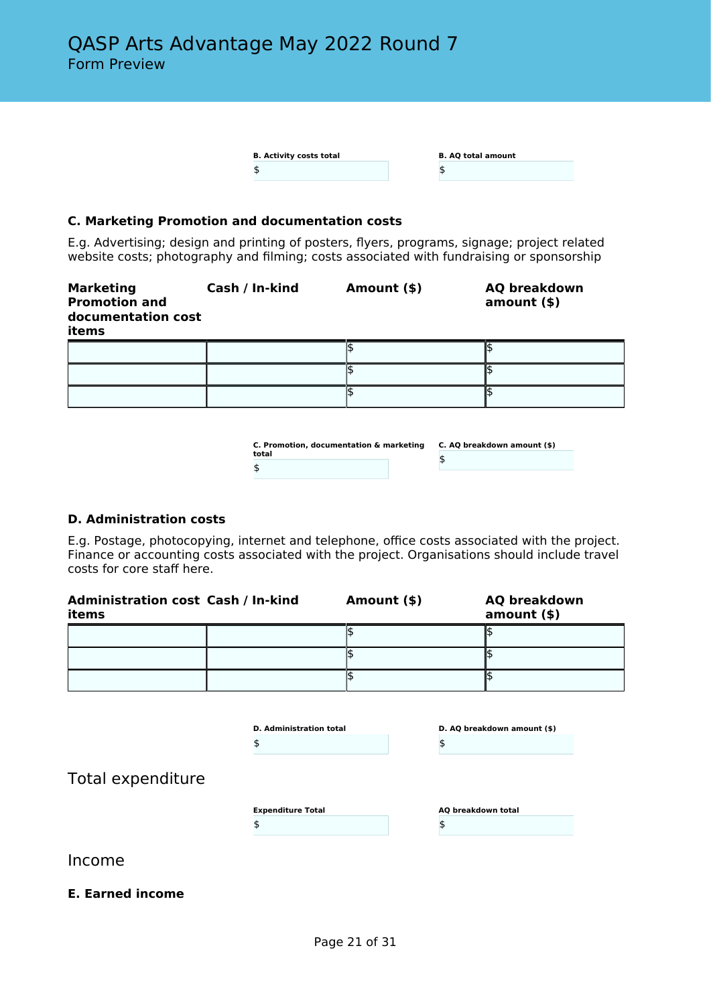| <b>B. Activity costs total</b> | <b>B. AQ total amount</b> |
|--------------------------------|---------------------------|
|                                |                           |

#### **C. Marketing Promotion and documentation costs**

E.g. Advertising; design and printing of posters, flyers, programs, signage; project related website costs; photography and filming; costs associated with fundraising or sponsorship

| <b>Marketing</b><br><b>Promotion and</b><br>documentation cost<br>items | Cash / In-kind | Amount (\$) | <b>AQ breakdown</b><br>amount() |
|-------------------------------------------------------------------------|----------------|-------------|---------------------------------|
|                                                                         |                |             |                                 |
|                                                                         |                |             |                                 |
|                                                                         |                |             |                                 |

| C. Promotion, documentation & marketing | C. AO breakdown amount (\$) |  |
|-----------------------------------------|-----------------------------|--|
| total                                   |                             |  |
|                                         |                             |  |
|                                         |                             |  |

#### **D. Administration costs**

E.g. Postage, photocopying, internet and telephone, office costs associated with the project. Finance or accounting costs associated with the project. Organisations should include travel costs for core staff here.

| <b>Administration cost Cash / In-kind</b><br>items | Amount (\$) | <b>AQ breakdown</b><br>$amount($ \$) |
|----------------------------------------------------|-------------|--------------------------------------|
|                                                    |             |                                      |
|                                                    |             |                                      |
|                                                    |             |                                      |

|                   | <b>D.</b> Administration total<br>Œ | D. AQ breakdown amount (\$)<br>\$ |
|-------------------|-------------------------------------|-----------------------------------|
| Total expenditure |                                     |                                   |
|                   | <b>Expenditure Total</b>            | AQ breakdown total<br>\$          |
| Income            |                                     |                                   |

**E. Earned income**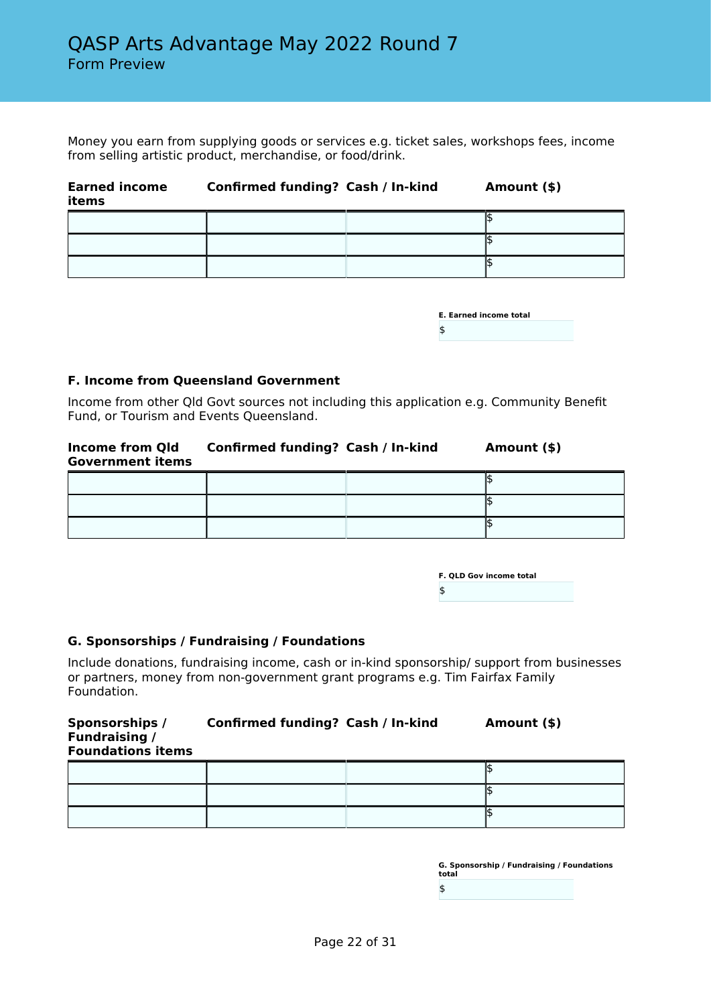Money you earn from supplying goods or services e.g. ticket sales, workshops fees, income from selling artistic product, merchandise, or food/drink.

| <b>Earned income</b><br>items | <b>Confirmed funding? Cash / In-kind</b> | Amount (\$) |
|-------------------------------|------------------------------------------|-------------|
|                               |                                          |             |
|                               |                                          |             |
|                               |                                          |             |

| <b>E. Earned income total</b> |  |
|-------------------------------|--|
| \$                            |  |

#### **F. Income from Queensland Government**

Income from other Qld Govt sources not including this application e.g. Community Benefit Fund, or Tourism and Events Queensland.

| <b>Income from Qld</b><br><b>Government items</b> | Confirmed funding? Cash / In-kind | Amount (\$) |
|---------------------------------------------------|-----------------------------------|-------------|
|                                                   |                                   |             |

|  | <b>F. OLD Gov income total</b> |  |
|--|--------------------------------|--|
|  |                                |  |

#### **G. Sponsorships / Fundraising / Foundations**

Include donations, fundraising income, cash or in-kind sponsorship/ support from businesses or partners, money from non-government grant programs e.g. Tim Fairfax Family Foundation.

| Sponsorships /<br><b>Fundraising /</b><br><b>Foundations items</b> | Confirmed funding? Cash / In-kind | Amount (\$) |
|--------------------------------------------------------------------|-----------------------------------|-------------|
|                                                                    |                                   |             |

| G. Sponsorship / Fundraising / Foundations<br>total |  |
|-----------------------------------------------------|--|
| \$                                                  |  |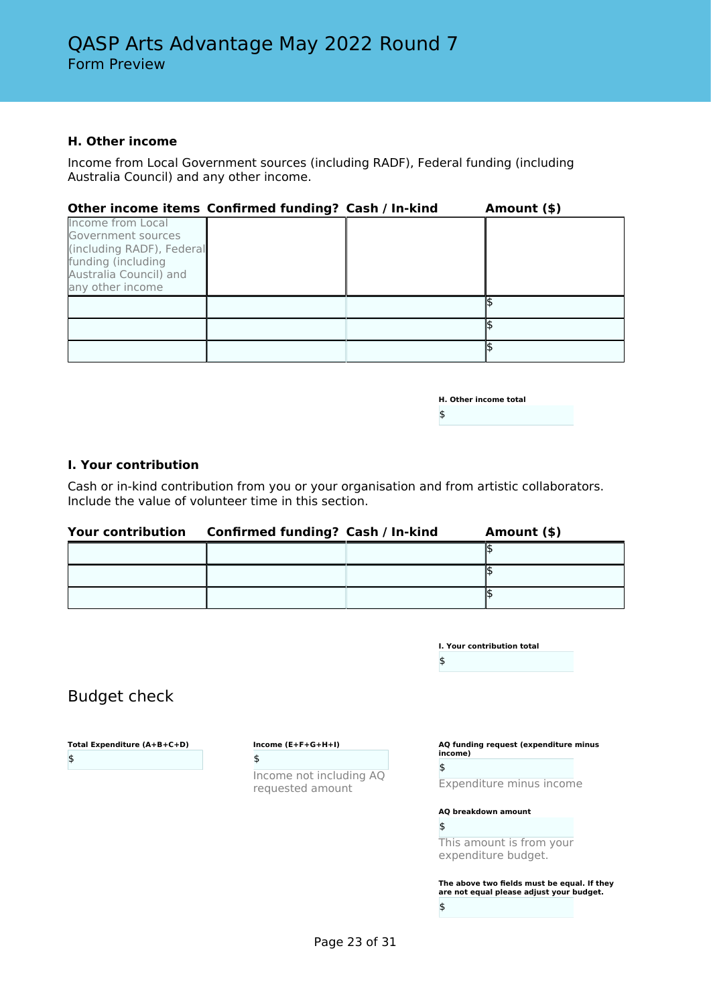#### **H. Other income**

Income from Local Government sources (including RADF), Federal funding (including Australia Council) and any other income.

| Other income items Confirmed funding? Cash / In-kind                                                                                            |  | Amount (\$) |
|-------------------------------------------------------------------------------------------------------------------------------------------------|--|-------------|
| <b>Income from Local</b><br>Government sources<br>(including RADF), Federal<br>funding (including<br>Australia Council) and<br>any other income |  |             |
|                                                                                                                                                 |  |             |
|                                                                                                                                                 |  |             |
|                                                                                                                                                 |  |             |

| <b>H. Other income total</b> |  |
|------------------------------|--|
| \$                           |  |

#### **I. Your contribution**

Budget check

**Total Expenditure (A+B+C+D)**

\$

Cash or in-kind contribution from you or your organisation and from artistic collaborators. Include the value of volunteer time in this section.

| Your contribution | Confirmed funding? Cash / In-kind | Amount (\$) |
|-------------------|-----------------------------------|-------------|
|                   |                                   |             |
|                   |                                   |             |
|                   |                                   |             |

|                                             | I. Your contribution total<br>\$                 |
|---------------------------------------------|--------------------------------------------------|
|                                             |                                                  |
| Income $(E+F+G+H+I)$                        | AQ funding request (expenditure minus<br>income) |
| \$                                          | \$                                               |
| Income not including AQ<br>requested amount | Expenditure minus income                         |
|                                             | AQ breakdown amount                              |
|                                             | \$                                               |
|                                             | This amount is from your<br>expenditure budget.  |

**The above two fields must be equal. If they are not equal please adjust your budget.** \$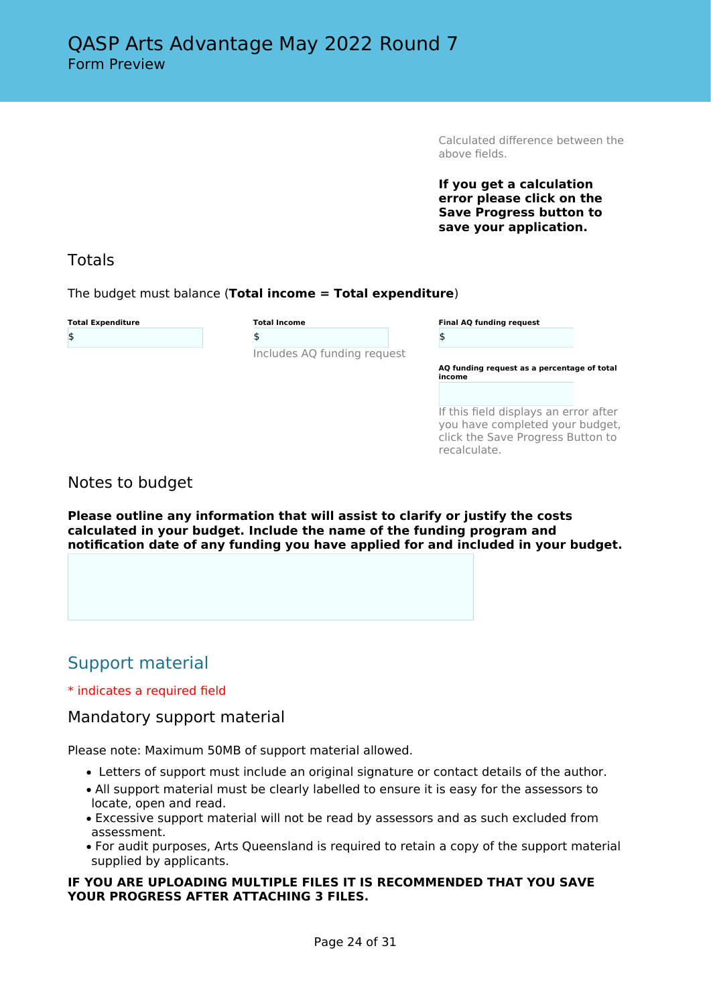Calculated difference between the above fields.

**If you get a calculation error please click on the Save Progress button to save your application.**

# Totals

The budget must balance (**Total income = Total expenditure**)

| <b>Total Expenditure</b> |  |
|--------------------------|--|
| \$                       |  |

**Total Income** \$ Includes AQ funding request

| <b>Final AQ funding request</b> |  |  |  |
|---------------------------------|--|--|--|
| \$                              |  |  |  |
|                                 |  |  |  |

**AQ funding request as a percentage of total income**

If this field displays an error after you have completed your budget, click the Save Progress Button to recalculate.

# Notes to budget

**Please outline any information that will assist to clarify or justify the costs calculated in your budget. Include the name of the funding program and notification date of any funding you have applied for and included in your budget.**

# Support material

#### \* indicates a required field

### Mandatory support material

Please note: Maximum 50MB of support material allowed.

- Letters of support must include an original signature or contact details of the author.
- All support material must be clearly labelled to ensure it is easy for the assessors to locate, open and read.
- Excessive support material will not be read by assessors and as such excluded from assessment.
- For audit purposes, Arts Queensland is required to retain a copy of the support material supplied by applicants.

#### **IF YOU ARE UPLOADING MULTIPLE FILES IT IS RECOMMENDED THAT YOU SAVE YOUR PROGRESS AFTER ATTACHING 3 FILES.**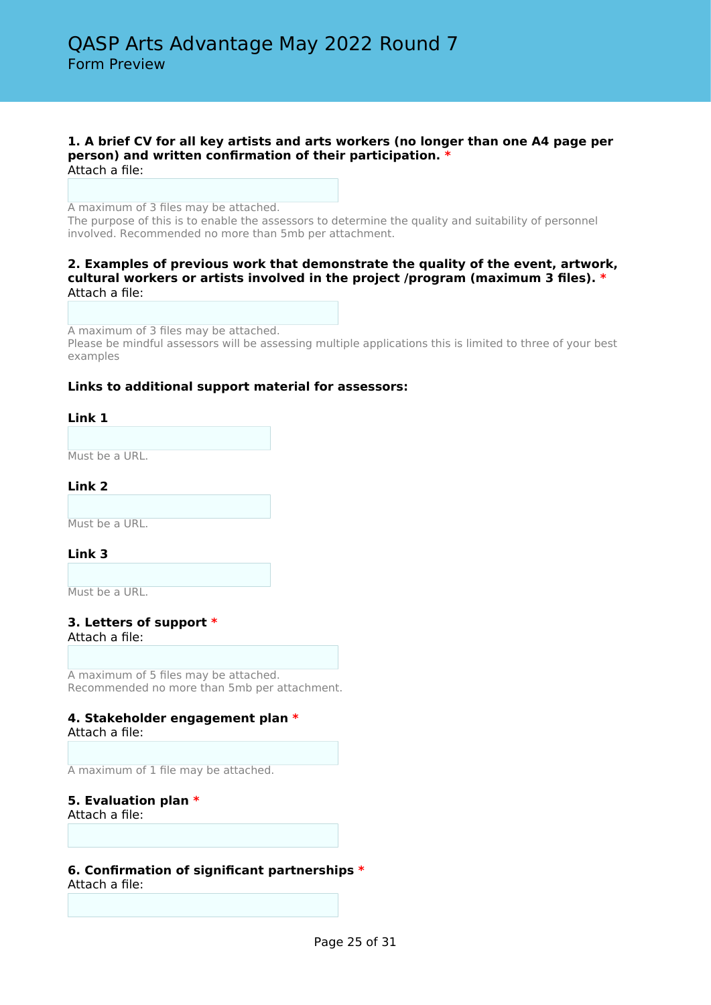#### **1. A brief CV for all key artists and arts workers (no longer than one A4 page per person) and written confirmation of their participation. \*** Attach a file:

A maximum of 3 files may be attached.

The purpose of this is to enable the assessors to determine the quality and suitability of personnel involved. Recommended no more than 5mb per attachment.

#### **2. Examples of previous work that demonstrate the quality of the event, artwork, cultural workers or artists involved in the project /program (maximum 3 files). \*** Attach a file:

A maximum of 3 files may be attached.

Please be mindful assessors will be assessing multiple applications this is limited to three of your best examples

#### **Links to additional support material for assessors:**

#### **Link 1**

Must be a URL.

#### **Link 2**

Must be a URL.

#### **Link 3**

Must be a URL.

**3. Letters of support \*** Attach a file:

A maximum of 5 files may be attached. Recommended no more than 5mb per attachment.

#### **4. Stakeholder engagement plan \*** Attach a file:

A maximum of 1 file may be attached.

#### **5. Evaluation plan \***

Attach a file:

#### **6. Confirmation of significant partnerships \***

Attach a file: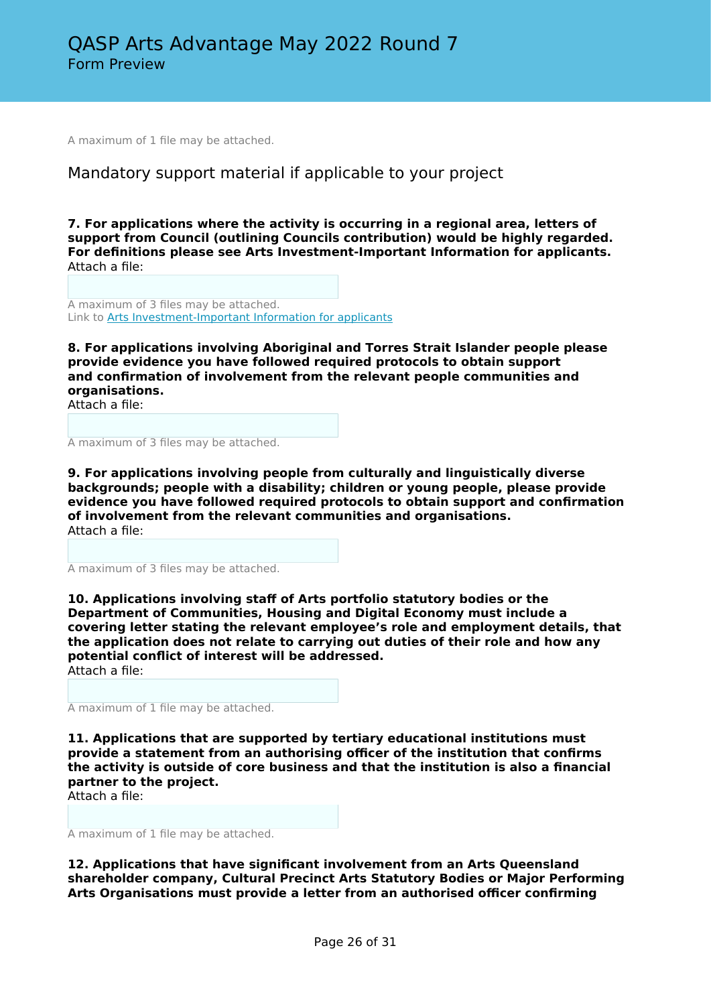A maximum of 1 file may be attached.

# Mandatory support material if applicable to your project

**7. For applications where the activity is occurring in a regional area, letters of support from Council (outlining Councils contribution) would be highly regarded. For definitions please see Arts Investment-Important Information for applicants.** Attach a file:

A maximum of 3 files may be attached. Link to **[Arts Investment-Important Information for applicants](https://publications.qld.gov.au/dataset/info-arts-funding-applicants/resource/da2106d5-22b6-4f48-a527-7d1f6f4a2dd0)** 

**8. For applications involving Aboriginal and Torres Strait Islander people please provide evidence you have followed required protocols to obtain support and confirmation of involvement from the relevant people communities and organisations.**

Attach a file:

A maximum of 3 files may be attached.

**9. For applications involving people from culturally and linguistically diverse backgrounds; people with a disability; children or young people, please provide evidence you have followed required protocols to obtain support and confirmation of involvement from the relevant communities and organisations.** Attach a file:

A maximum of 3 files may be attached.

**10. Applications involving staff of Arts portfolio statutory bodies or the Department of Communities, Housing and Digital Economy must include a covering letter stating the relevant employee's role and employment details, that the application does not relate to carrying out duties of their role and how any potential conflict of interest will be addressed.** Attach a file:

A maximum of 1 file may be attached.

**11. Applications that are supported by tertiary educational institutions must provide a statement from an authorising officer of the institution that confirms the activity is outside of core business and that the institution is also a financial partner to the project.**

Attach a file:

A maximum of 1 file may be attached.

**12. Applications that have significant involvement from an Arts Queensland shareholder company, Cultural Precinct Arts Statutory Bodies or Major Performing Arts Organisations must provide a letter from an authorised officer confirming**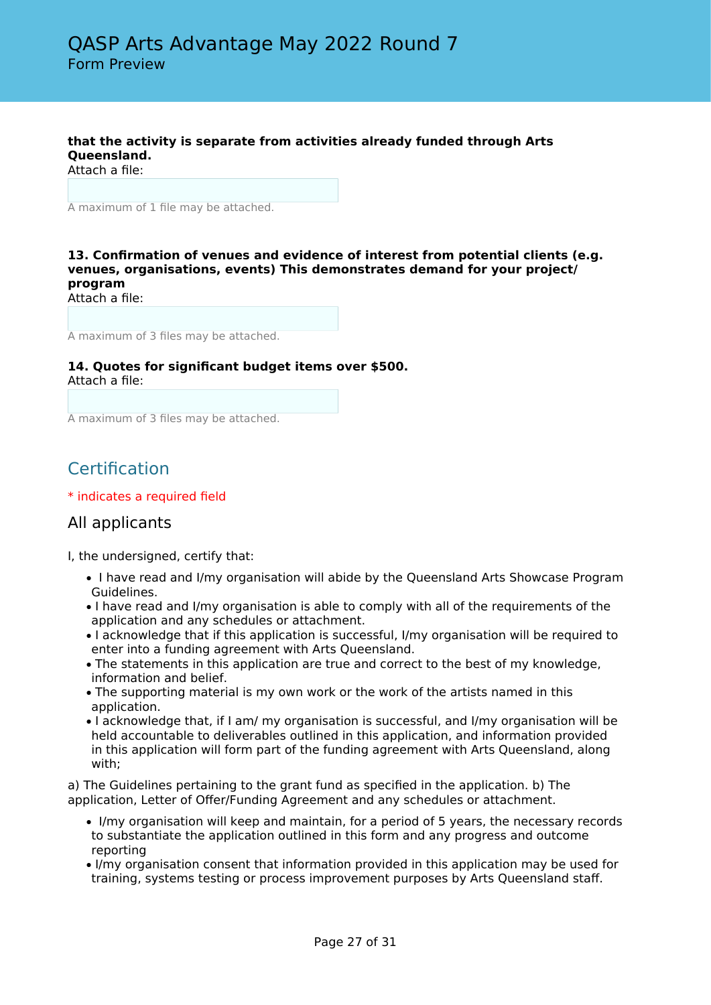### **that the activity is separate from activities already funded through Arts Queensland.**

Attach a file:

A maximum of 1 file may be attached.

#### **13. Confirmation of venues and evidence of interest from potential clients (e.g. venues, organisations, events) This demonstrates demand for your project/ program**

Attach a file:

A maximum of 3 files may be attached.

#### **14. Quotes for significant budget items over \$500.** Attach a file:

A maximum of 3 files may be attached.

# **Certification**

\* indicates a required field

# All applicants

I, the undersigned, certify that:

- I have read and I/my organisation will abide by the Queensland Arts Showcase Program Guidelines.
- I have read and I/my organisation is able to comply with all of the requirements of the application and any schedules or attachment.
- I acknowledge that if this application is successful, I/my organisation will be required to enter into a funding agreement with Arts Queensland.
- The statements in this application are true and correct to the best of my knowledge, information and belief.
- The supporting material is my own work or the work of the artists named in this application.
- I acknowledge that, if I am/ my organisation is successful, and I/my organisation will be held accountable to deliverables outlined in this application, and information provided in this application will form part of the funding agreement with Arts Queensland, along with;

a) The Guidelines pertaining to the grant fund as specified in the application. b) The application, Letter of Offer/Funding Agreement and any schedules or attachment.

- I/my organisation will keep and maintain, for a period of 5 years, the necessary records to substantiate the application outlined in this form and any progress and outcome reporting
- I/my organisation consent that information provided in this application may be used for training, systems testing or process improvement purposes by Arts Queensland staff.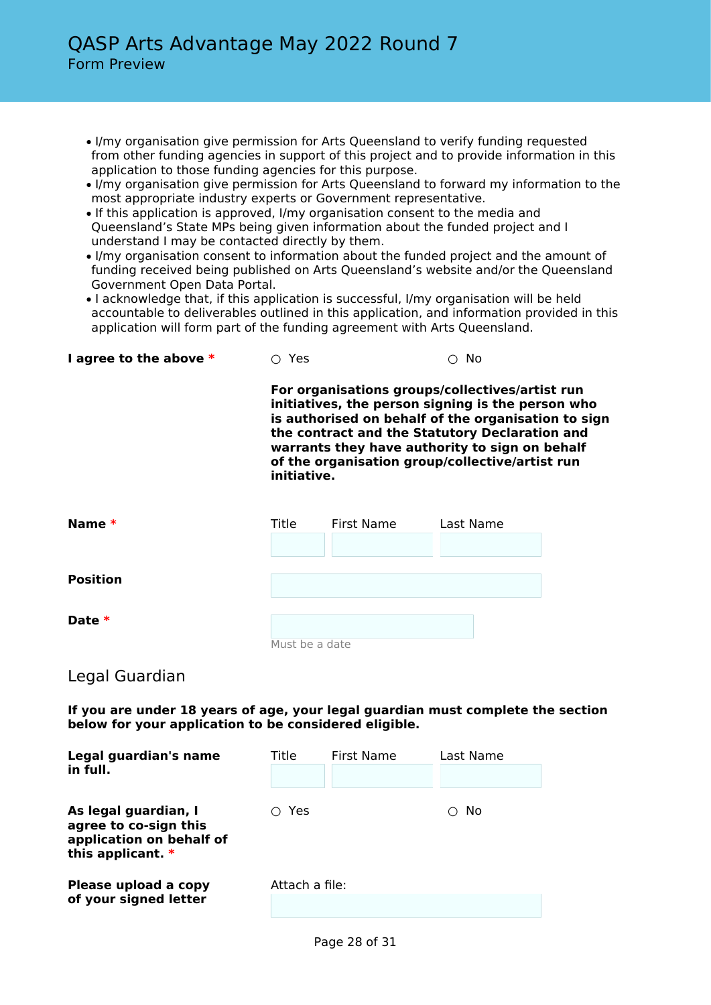- I/my organisation give permission for Arts Queensland to verify funding requested from other funding agencies in support of this project and to provide information in this application to those funding agencies for this purpose.
- I/my organisation give permission for Arts Queensland to forward my information to the most appropriate industry experts or Government representative.
- If this application is approved, I/my organisation consent to the media and Queensland's State MPs being given information about the funded project and I understand I may be contacted directly by them.
- I/my organisation consent to information about the funded project and the amount of funding received being published on Arts Queensland's website and/or the Queensland Government Open Data Portal.
- I acknowledge that, if this application is successful, I/my organisation will be held accountable to deliverables outlined in this application, and information provided in this application will form part of the funding agreement with Arts Queensland.

| I agree to the above $*$ | ○ Yes | $\circ$ No |
|--------------------------|-------|------------|
|--------------------------|-------|------------|

**For organisations groups/collectives/artist run initiatives, the person signing is the person who is authorised on behalf of the organisation to sign the contract and the Statutory Declaration and warrants they have authority to sign on behalf of the organisation group/collective/artist run initiative.**

| Name *          | Title          | First Name | Last Name |
|-----------------|----------------|------------|-----------|
|                 |                |            |           |
|                 |                |            |           |
| <b>Position</b> |                |            |           |
|                 |                |            |           |
| Date $*$        |                |            |           |
|                 | Must be a date |            |           |

# Legal Guardian

**If you are under 18 years of age, your legal guardian must complete the section below for your application to be considered eligible.**

| Legal guardian's name<br>in full.                                                              | Title          | First Name | Last Name |
|------------------------------------------------------------------------------------------------|----------------|------------|-----------|
| As legal guardian, I<br>agree to co-sign this<br>application on behalf of<br>this applicant. * | Yes            |            | No        |
| Please upload a copy<br>of your signed letter                                                  | Attach a file: |            |           |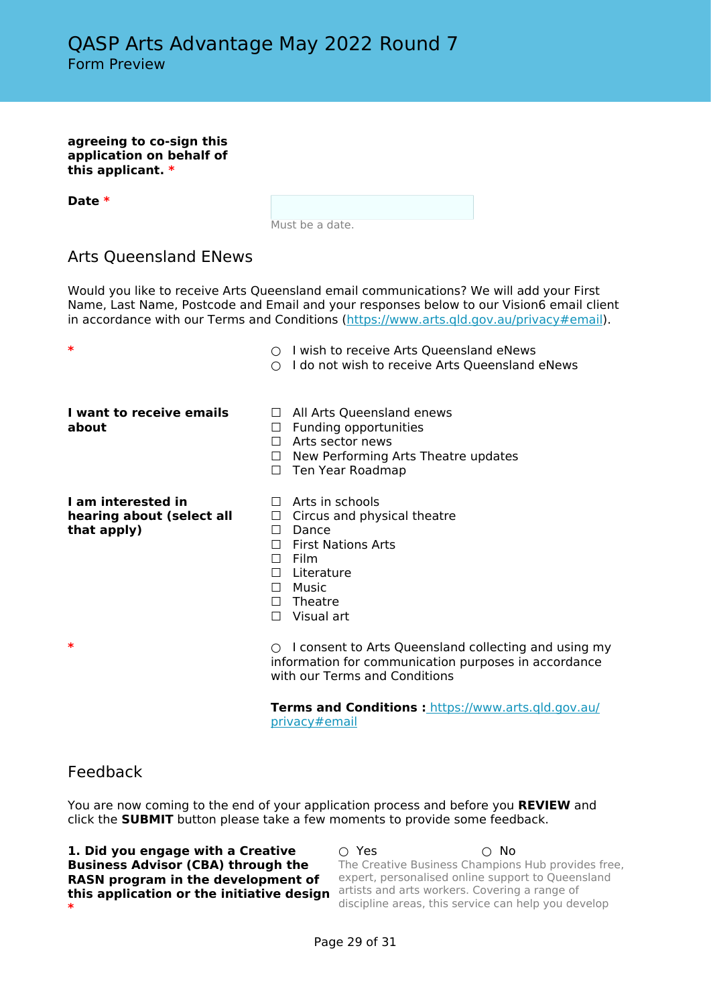**agreeing to co-sign this application on behalf of this applicant. \***

**Date \***

Must be a date.

# Arts Queensland ENews

Would you like to receive Arts Queensland email communications? We will add your First Name, Last Name, Postcode and Email and your responses below to our Vision6 email client in accordance with our Terms and Conditions [\(https://www.arts.qld.gov.au/privacy#email\)](https://www.arts.qld.gov.au/privacy#email).

| ∗                                                              | $\circ$ I wish to receive Arts Queensland eNews<br>I do not wish to receive Arts Queensland eNews                                                                                                                           |
|----------------------------------------------------------------|-----------------------------------------------------------------------------------------------------------------------------------------------------------------------------------------------------------------------------|
| I want to receive emails<br>about                              | $\Box$ All Arts Queensland enews<br>Funding opportunities<br>⊔<br>Arts sector news<br>$\perp$<br>New Performing Arts Theatre updates<br>$\Box$<br>Ten Year Roadmap<br>П                                                     |
| I am interested in<br>hearing about (select all<br>that apply) | $\Box$ Arts in schools<br>Circus and physical theatre<br>$\Box$<br>Dance<br>$\perp$<br><b>First Nations Arts</b><br>$\perp$<br>$\Box$ Film<br>Literature<br>$\perp$<br>$\square$ Music<br>$\Box$ Theatre<br>Visual art<br>П |
| ∗                                                              | $\circ$ I consent to Arts Queensland collecting and using my<br>information for communication purposes in accordance<br>with our Terms and Conditions                                                                       |

**Terms and Conditions :** [https://www.arts.qld.gov.au/](https://www.arts.qld.gov.au/privacy#email) [privacy#email](https://www.arts.qld.gov.au/privacy#email)

### Feedback

You are now coming to the end of your application process and before you **REVIEW** and click the **SUBMIT** button please take a few moments to provide some feedback.

| 1. Did you engage with a Creative         | ∩ Yes | ∩ No                                                |
|-------------------------------------------|-------|-----------------------------------------------------|
| <b>Business Advisor (CBA) through the</b> |       | The Creative Business Champions Hub provides free,  |
| RASN program in the development of        |       | expert, personalised online support to Queensland   |
| this application or the initiative design |       | artists and arts workers. Covering a range of       |
| $\ast$                                    |       | discipline areas, this service can help you develop |
|                                           |       |                                                     |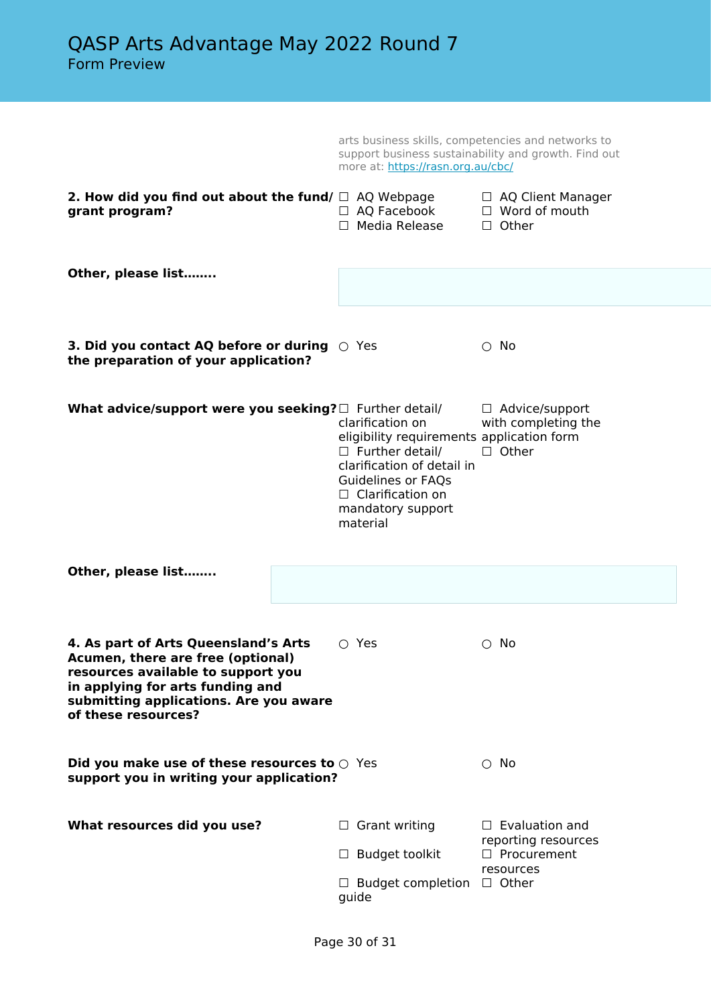arts business skills, competencies and networks to support business sustainability and growth. Find out more at: <https://rasn.org.au/cbc/>

| 2. How did you find out about the fund/ $\Box$ AQ Webpage<br>grant program?                                                                                                                                          | $\Box$ AQ Facebook<br>$\Box$ Media Release                                                                                                                                                              | □ AQ Client Manager<br>$\Box$ Word of mouth<br>$\Box$ Other   |
|----------------------------------------------------------------------------------------------------------------------------------------------------------------------------------------------------------------------|---------------------------------------------------------------------------------------------------------------------------------------------------------------------------------------------------------|---------------------------------------------------------------|
| Other, please list                                                                                                                                                                                                   |                                                                                                                                                                                                         |                                                               |
| <b>3. Did you contact AQ before or during</b> $\bigcirc$ Yes<br>the preparation of your application?                                                                                                                 |                                                                                                                                                                                                         | $\circ$ No                                                    |
| What advice/support were you seeking? $\Box$ Further detail/                                                                                                                                                         | clarification on<br>eligibility requirements application form<br>$\Box$ Further detail/<br>clarification of detail in<br>Guidelines or FAQs<br>$\Box$ Clarification on<br>mandatory support<br>material | $\Box$ Advice/support<br>with completing the<br>$\Box$ Other  |
| Other, please list                                                                                                                                                                                                   |                                                                                                                                                                                                         |                                                               |
| 4. As part of Arts Queensland's Arts<br>Acumen, there are free (optional)<br>resources available to support you<br>in applying for arts funding and<br>submitting applications. Are you aware<br>of these resources? | $\circ$ Yes                                                                                                                                                                                             | $\circ$ No                                                    |
| Did you make use of these resources to $\odot$ Yes<br>support you in writing your application?                                                                                                                       |                                                                                                                                                                                                         | $\circ$ No                                                    |
| What resources did you use?                                                                                                                                                                                          | $\Box$ Grant writing<br><b>Budget toolkit</b><br>$\Box$                                                                                                                                                 | $\Box$ Evaluation and<br>reporting resources<br>□ Procurement |
|                                                                                                                                                                                                                      | $\Box$ Budget completion<br>guide                                                                                                                                                                       | resources<br>$\Box$ Other                                     |